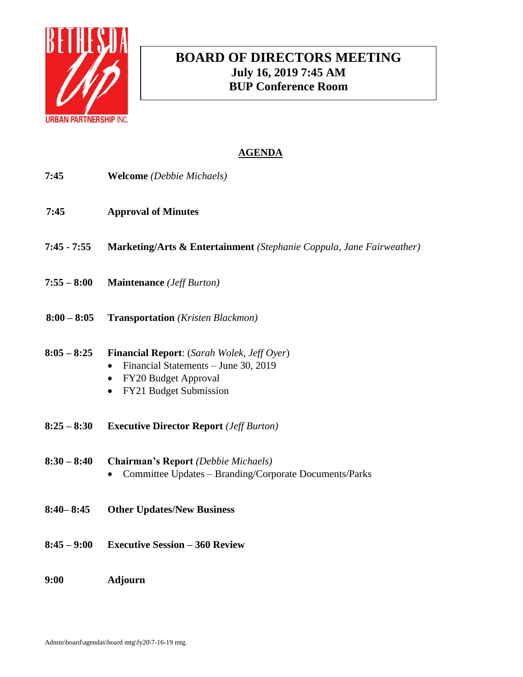

# **BOARD OF DIRECTORS MEETING July 16, 2019 7:45 AM BUP Conference Room**

- **7:45 Welcome** *(Debbie Michaels)*
- **7:45 Approval of Minutes**
- **7:45 - 7:55 Marketing/Arts & Entertainment** *(Stephanie Coppula, Jane Fairweather)*
- **7:55 – 8:00 Maintenance** *(Jeff Burton)*
- **8:00 – 8:05 Transportation** *(Kristen Blackmon)*
- **8:05 – 8:25 Financial Report**: (*Sarah Wolek, Jeff Oyer*)
	- Financial Statements June 30, 2019
	- FY20 Budget Approval
	- FY21 Budget Submission
- **8:25 – 8:30 Executive Director Report** *(Jeff Burton)*
- **8:30 – 8:40 Chairman's Report** *(Debbie Michaels)* • Committee Updates – Branding/Corporate Documents/Parks
- **8:40– 8:45 Other Updates/New Business**
- **8:45 – 9:00 Executive Session – 360 Review**
- **9:00 Adjourn**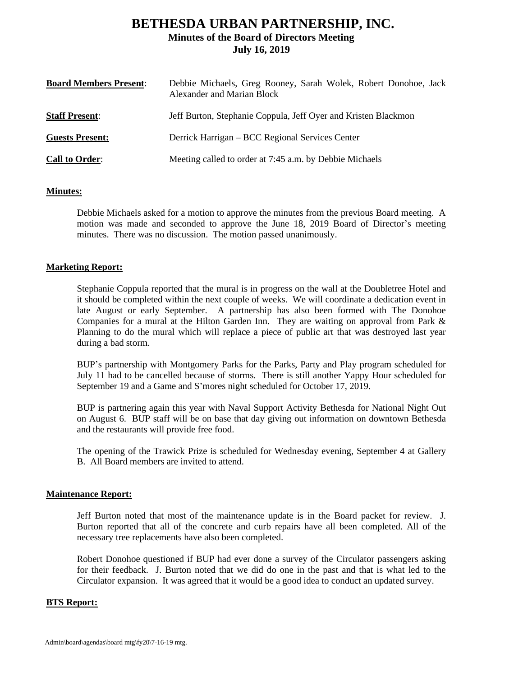# **BETHESDA URBAN PARTNERSHIP, INC. Minutes of the Board of Directors Meeting July 16, 2019**

| <b>Board Members Present:</b> | Debbie Michaels, Greg Rooney, Sarah Wolek, Robert Donohoe, Jack<br>Alexander and Marian Block |
|-------------------------------|-----------------------------------------------------------------------------------------------|
| <b>Staff Present:</b>         | Jeff Burton, Stephanie Coppula, Jeff Oyer and Kristen Blackmon                                |
| <b>Guests Present:</b>        | Derrick Harrigan – BCC Regional Services Center                                               |
| <b>Call to Order:</b>         | Meeting called to order at 7:45 a.m. by Debbie Michaels                                       |

## **Minutes:**

Debbie Michaels asked for a motion to approve the minutes from the previous Board meeting. A motion was made and seconded to approve the June 18, 2019 Board of Director's meeting minutes. There was no discussion. The motion passed unanimously.

## **Marketing Report:**

Stephanie Coppula reported that the mural is in progress on the wall at the Doubletree Hotel and it should be completed within the next couple of weeks. We will coordinate a dedication event in late August or early September. A partnership has also been formed with The Donohoe Companies for a mural at the Hilton Garden Inn. They are waiting on approval from Park & Planning to do the mural which will replace a piece of public art that was destroyed last year during a bad storm.

BUP's partnership with Montgomery Parks for the Parks, Party and Play program scheduled for July 11 had to be cancelled because of storms. There is still another Yappy Hour scheduled for September 19 and a Game and S'mores night scheduled for October 17, 2019.

BUP is partnering again this year with Naval Support Activity Bethesda for National Night Out on August 6. BUP staff will be on base that day giving out information on downtown Bethesda and the restaurants will provide free food.

The opening of the Trawick Prize is scheduled for Wednesday evening, September 4 at Gallery B. All Board members are invited to attend.

### **Maintenance Report:**

Jeff Burton noted that most of the maintenance update is in the Board packet for review. J. Burton reported that all of the concrete and curb repairs have all been completed. All of the necessary tree replacements have also been completed.

Robert Donohoe questioned if BUP had ever done a survey of the Circulator passengers asking for their feedback. J. Burton noted that we did do one in the past and that is what led to the Circulator expansion. It was agreed that it would be a good idea to conduct an updated survey.

# **BTS Report:**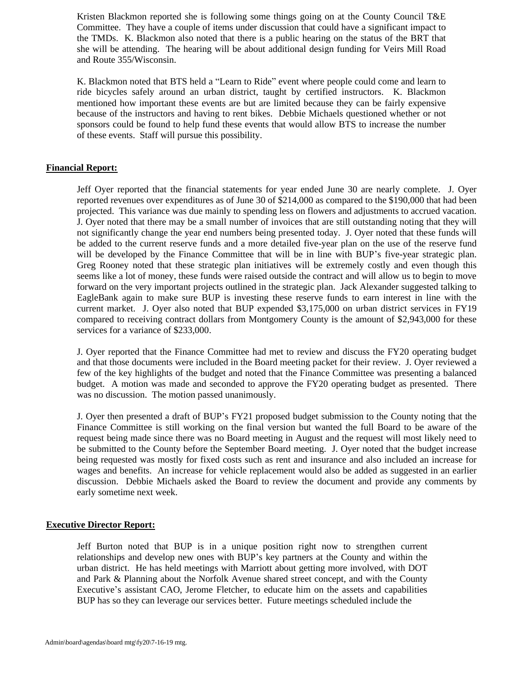Kristen Blackmon reported she is following some things going on at the County Council T&E Committee. They have a couple of items under discussion that could have a significant impact to the TMDs. K. Blackmon also noted that there is a public hearing on the status of the BRT that she will be attending. The hearing will be about additional design funding for Veirs Mill Road and Route 355/Wisconsin.

K. Blackmon noted that BTS held a "Learn to Ride" event where people could come and learn to ride bicycles safely around an urban district, taught by certified instructors. K. Blackmon mentioned how important these events are but are limited because they can be fairly expensive because of the instructors and having to rent bikes. Debbie Michaels questioned whether or not sponsors could be found to help fund these events that would allow BTS to increase the number of these events. Staff will pursue this possibility.

## **Financial Report:**

Jeff Oyer reported that the financial statements for year ended June 30 are nearly complete. J. Oyer reported revenues over expenditures as of June 30 of \$214,000 as compared to the \$190,000 that had been projected. This variance was due mainly to spending less on flowers and adjustments to accrued vacation. J. Oyer noted that there may be a small number of invoices that are still outstanding noting that they will not significantly change the year end numbers being presented today. J. Oyer noted that these funds will be added to the current reserve funds and a more detailed five-year plan on the use of the reserve fund will be developed by the Finance Committee that will be in line with BUP's five-year strategic plan. Greg Rooney noted that these strategic plan initiatives will be extremely costly and even though this seems like a lot of money, these funds were raised outside the contract and will allow us to begin to move forward on the very important projects outlined in the strategic plan. Jack Alexander suggested talking to EagleBank again to make sure BUP is investing these reserve funds to earn interest in line with the current market. J. Oyer also noted that BUP expended \$3,175,000 on urban district services in FY19 compared to receiving contract dollars from Montgomery County is the amount of \$2,943,000 for these services for a variance of \$233,000.

J. Oyer reported that the Finance Committee had met to review and discuss the FY20 operating budget and that those documents were included in the Board meeting packet for their review. J. Oyer reviewed a few of the key highlights of the budget and noted that the Finance Committee was presenting a balanced budget. A motion was made and seconded to approve the FY20 operating budget as presented. There was no discussion. The motion passed unanimously.

J. Oyer then presented a draft of BUP's FY21 proposed budget submission to the County noting that the Finance Committee is still working on the final version but wanted the full Board to be aware of the request being made since there was no Board meeting in August and the request will most likely need to be submitted to the County before the September Board meeting. J. Oyer noted that the budget increase being requested was mostly for fixed costs such as rent and insurance and also included an increase for wages and benefits. An increase for vehicle replacement would also be added as suggested in an earlier discussion. Debbie Michaels asked the Board to review the document and provide any comments by early sometime next week.

# **Executive Director Report:**

Jeff Burton noted that BUP is in a unique position right now to strengthen current relationships and develop new ones with BUP's key partners at the County and within the urban district. He has held meetings with Marriott about getting more involved, with DOT and Park & Planning about the Norfolk Avenue shared street concept, and with the County Executive's assistant CAO, Jerome Fletcher, to educate him on the assets and capabilities BUP has so they can leverage our services better. Future meetings scheduled include the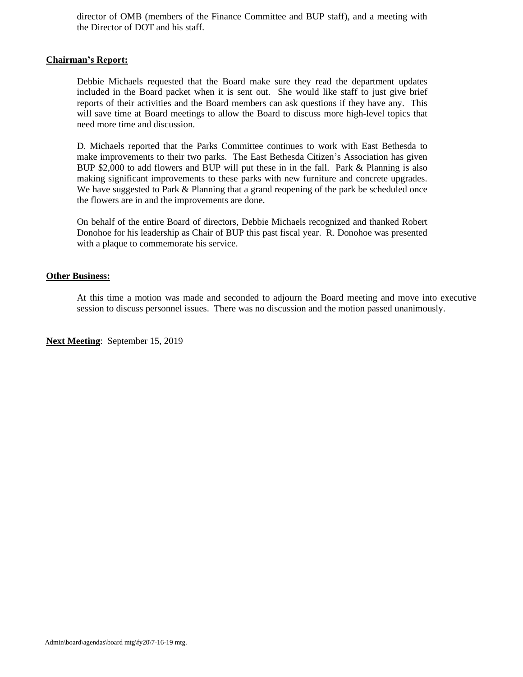director of OMB (members of the Finance Committee and BUP staff), and a meeting with the Director of DOT and his staff.

### **Chairman's Report:**

Debbie Michaels requested that the Board make sure they read the department updates included in the Board packet when it is sent out. She would like staff to just give brief reports of their activities and the Board members can ask questions if they have any. This will save time at Board meetings to allow the Board to discuss more high-level topics that need more time and discussion.

D. Michaels reported that the Parks Committee continues to work with East Bethesda to make improvements to their two parks. The East Bethesda Citizen's Association has given BUP \$2,000 to add flowers and BUP will put these in in the fall. Park & Planning is also making significant improvements to these parks with new furniture and concrete upgrades. We have suggested to Park & Planning that a grand reopening of the park be scheduled once the flowers are in and the improvements are done.

On behalf of the entire Board of directors, Debbie Michaels recognized and thanked Robert Donohoe for his leadership as Chair of BUP this past fiscal year. R. Donohoe was presented with a plaque to commemorate his service.

## **Other Business:**

At this time a motion was made and seconded to adjourn the Board meeting and move into executive session to discuss personnel issues. There was no discussion and the motion passed unanimously.

**Next Meeting**: September 15, 2019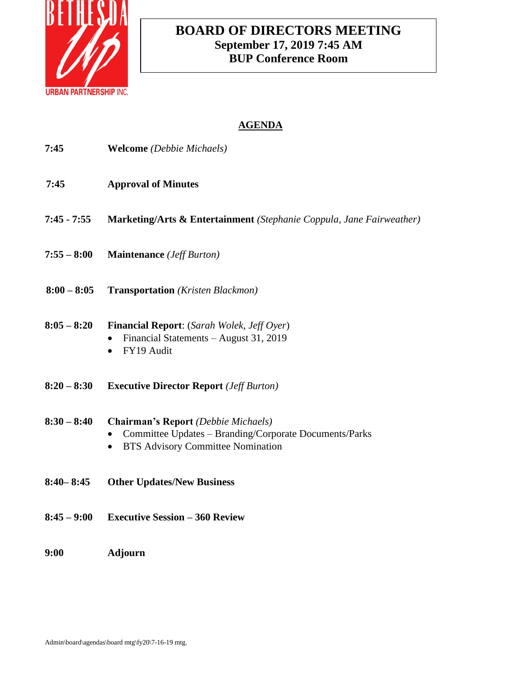

# **BOARD OF DIRECTORS MEETING September 17, 2019 7:45 AM BUP Conference Room**

| 7:45          | <b>Welcome</b> (Debbie Michaels)                                                                                                                              |
|---------------|---------------------------------------------------------------------------------------------------------------------------------------------------------------|
| 7:45          | <b>Approval of Minutes</b>                                                                                                                                    |
| $7:45 - 7:55$ | <b>Marketing/Arts &amp; Entertainment</b> (Stephanie Coppula, Jane Fairweather)                                                                               |
| $7:55 - 8:00$ | <b>Maintenance</b> ( <i>Jeff Burton</i> )                                                                                                                     |
| $8:00 - 8:05$ | <b>Transportation</b> (Kristen Blackmon)                                                                                                                      |
| $8:05 - 8:20$ | <b>Financial Report:</b> (Sarah Wolek, Jeff Oyer)<br>Financial Statements - August 31, 2019<br>FY19 Audit<br>$\bullet$                                        |
| $8:20 - 8:30$ | <b>Executive Director Report (Jeff Burton)</b>                                                                                                                |
| $8:30 - 8:40$ | <b>Chairman's Report</b> (Debbie Michaels)<br>Committee Updates - Branding/Corporate Documents/Parks<br><b>BTS Advisory Committee Nomination</b><br>$\bullet$ |
| $8:40 - 8:45$ | <b>Other Updates/New Business</b>                                                                                                                             |
| $8:45 - 9:00$ | <b>Executive Session - 360 Review</b>                                                                                                                         |
| 9:00          | <b>Adjourn</b>                                                                                                                                                |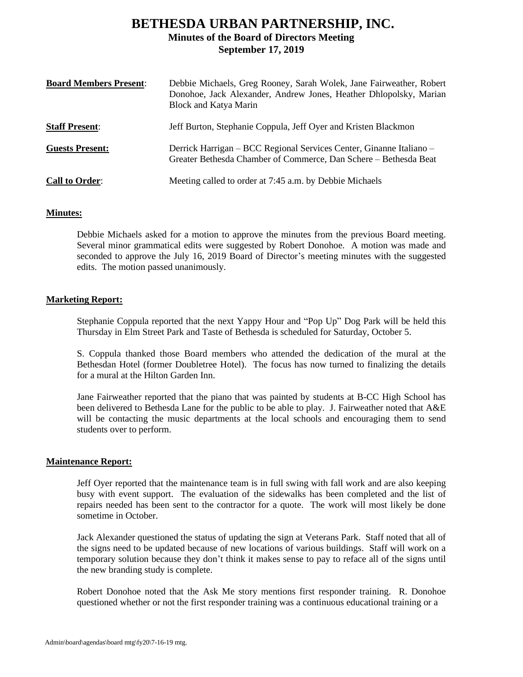# **BETHESDA URBAN PARTNERSHIP, INC. Minutes of the Board of Directors Meeting September 17, 2019**

| <b>Board Members Present:</b> | Debbie Michaels, Greg Rooney, Sarah Wolek, Jane Fairweather, Robert<br>Donohoe, Jack Alexander, Andrew Jones, Heather Dhlopolsky, Marian<br><b>Block and Katya Marin</b> |
|-------------------------------|--------------------------------------------------------------------------------------------------------------------------------------------------------------------------|
| <b>Staff Present:</b>         | Jeff Burton, Stephanie Coppula, Jeff Oyer and Kristen Blackmon                                                                                                           |
| <b>Guests Present:</b>        | Derrick Harrigan – BCC Regional Services Center, Ginanne Italiano –<br>Greater Bethesda Chamber of Commerce, Dan Schere - Bethesda Beat                                  |
| <b>Call to Order:</b>         | Meeting called to order at 7:45 a.m. by Debbie Michaels                                                                                                                  |

# **Minutes:**

Debbie Michaels asked for a motion to approve the minutes from the previous Board meeting. Several minor grammatical edits were suggested by Robert Donohoe. A motion was made and seconded to approve the July 16, 2019 Board of Director's meeting minutes with the suggested edits. The motion passed unanimously.

## **Marketing Report:**

Stephanie Coppula reported that the next Yappy Hour and "Pop Up" Dog Park will be held this Thursday in Elm Street Park and Taste of Bethesda is scheduled for Saturday, October 5.

S. Coppula thanked those Board members who attended the dedication of the mural at the Bethesdan Hotel (former Doubletree Hotel). The focus has now turned to finalizing the details for a mural at the Hilton Garden Inn.

Jane Fairweather reported that the piano that was painted by students at B-CC High School has been delivered to Bethesda Lane for the public to be able to play. J. Fairweather noted that A&E will be contacting the music departments at the local schools and encouraging them to send students over to perform.

### **Maintenance Report:**

Jeff Oyer reported that the maintenance team is in full swing with fall work and are also keeping busy with event support. The evaluation of the sidewalks has been completed and the list of repairs needed has been sent to the contractor for a quote. The work will most likely be done sometime in October.

Jack Alexander questioned the status of updating the sign at Veterans Park. Staff noted that all of the signs need to be updated because of new locations of various buildings. Staff will work on a temporary solution because they don't think it makes sense to pay to reface all of the signs until the new branding study is complete.

Robert Donohoe noted that the Ask Me story mentions first responder training. R. Donohoe questioned whether or not the first responder training was a continuous educational training or a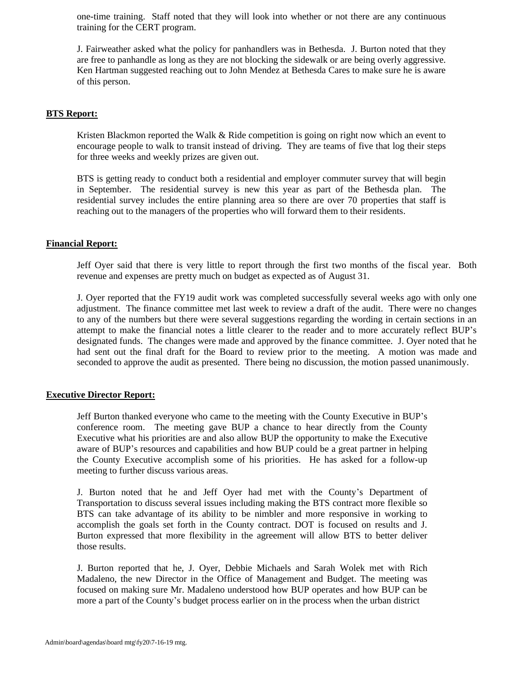one-time training. Staff noted that they will look into whether or not there are any continuous training for the CERT program.

J. Fairweather asked what the policy for panhandlers was in Bethesda. J. Burton noted that they are free to panhandle as long as they are not blocking the sidewalk or are being overly aggressive. Ken Hartman suggested reaching out to John Mendez at Bethesda Cares to make sure he is aware of this person.

## **BTS Report:**

Kristen Blackmon reported the Walk & Ride competition is going on right now which an event to encourage people to walk to transit instead of driving. They are teams of five that log their steps for three weeks and weekly prizes are given out.

BTS is getting ready to conduct both a residential and employer commuter survey that will begin in September. The residential survey is new this year as part of the Bethesda plan. The residential survey includes the entire planning area so there are over 70 properties that staff is reaching out to the managers of the properties who will forward them to their residents.

### **Financial Report:**

Jeff Oyer said that there is very little to report through the first two months of the fiscal year. Both revenue and expenses are pretty much on budget as expected as of August 31.

J. Oyer reported that the FY19 audit work was completed successfully several weeks ago with only one adjustment. The finance committee met last week to review a draft of the audit. There were no changes to any of the numbers but there were several suggestions regarding the wording in certain sections in an attempt to make the financial notes a little clearer to the reader and to more accurately reflect BUP's designated funds. The changes were made and approved by the finance committee. J. Oyer noted that he had sent out the final draft for the Board to review prior to the meeting. A motion was made and seconded to approve the audit as presented. There being no discussion, the motion passed unanimously.

# **Executive Director Report:**

Jeff Burton thanked everyone who came to the meeting with the County Executive in BUP's conference room. The meeting gave BUP a chance to hear directly from the County Executive what his priorities are and also allow BUP the opportunity to make the Executive aware of BUP's resources and capabilities and how BUP could be a great partner in helping the County Executive accomplish some of his priorities. He has asked for a follow-up meeting to further discuss various areas.

J. Burton noted that he and Jeff Oyer had met with the County's Department of Transportation to discuss several issues including making the BTS contract more flexible so BTS can take advantage of its ability to be nimbler and more responsive in working to accomplish the goals set forth in the County contract. DOT is focused on results and J. Burton expressed that more flexibility in the agreement will allow BTS to better deliver those results.

J. Burton reported that he, J. Oyer, Debbie Michaels and Sarah Wolek met with Rich Madaleno, the new Director in the Office of Management and Budget. The meeting was focused on making sure Mr. Madaleno understood how BUP operates and how BUP can be more a part of the County's budget process earlier on in the process when the urban district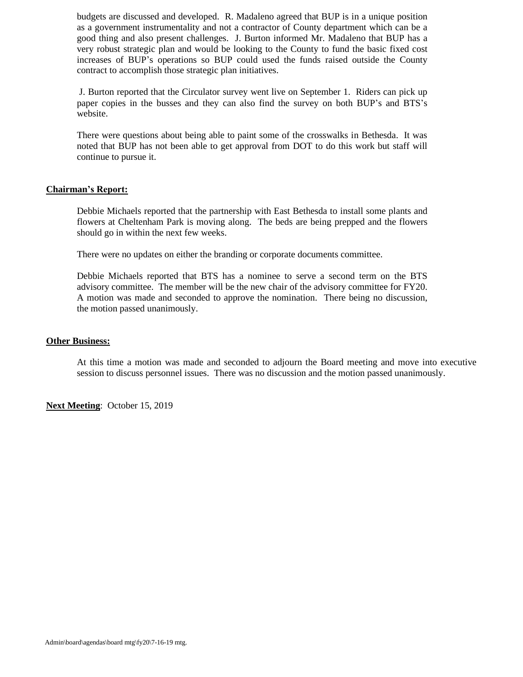budgets are discussed and developed. R. Madaleno agreed that BUP is in a unique position as a government instrumentality and not a contractor of County department which can be a good thing and also present challenges. J. Burton informed Mr. Madaleno that BUP has a very robust strategic plan and would be looking to the County to fund the basic fixed cost increases of BUP's operations so BUP could used the funds raised outside the County contract to accomplish those strategic plan initiatives.

J. Burton reported that the Circulator survey went live on September 1. Riders can pick up paper copies in the busses and they can also find the survey on both BUP's and BTS's website.

There were questions about being able to paint some of the crosswalks in Bethesda. It was noted that BUP has not been able to get approval from DOT to do this work but staff will continue to pursue it.

## **Chairman's Report:**

Debbie Michaels reported that the partnership with East Bethesda to install some plants and flowers at Cheltenham Park is moving along. The beds are being prepped and the flowers should go in within the next few weeks.

There were no updates on either the branding or corporate documents committee.

Debbie Michaels reported that BTS has a nominee to serve a second term on the BTS advisory committee. The member will be the new chair of the advisory committee for FY20. A motion was made and seconded to approve the nomination. There being no discussion, the motion passed unanimously.

### **Other Business:**

At this time a motion was made and seconded to adjourn the Board meeting and move into executive session to discuss personnel issues. There was no discussion and the motion passed unanimously.

**Next Meeting**: October 15, 2019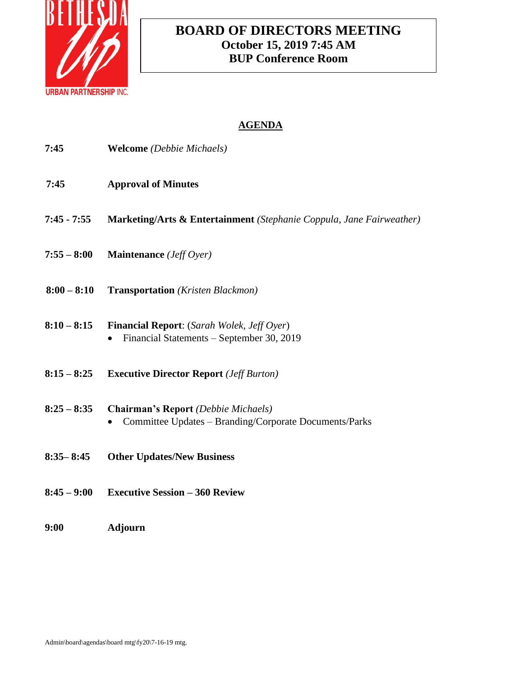

# **BOARD OF DIRECTORS MEETING October 15, 2019 7:45 AM BUP Conference Room**

| 7:45          | <b>Welcome</b> (Debbie Michaels)                                                                     |
|---------------|------------------------------------------------------------------------------------------------------|
| 7:45          | <b>Approval of Minutes</b>                                                                           |
| $7:45 - 7:55$ | Marketing/Arts & Entertainment (Stephanie Coppula, Jane Fairweather)                                 |
| $7:55 - 8:00$ | Maintenance (Jeff Oyer)                                                                              |
| $8:00 - 8:10$ | <b>Transportation</b> (Kristen Blackmon)                                                             |
| $8:10 - 8:15$ | <b>Financial Report:</b> (Sarah Wolek, Jeff Oyer)<br>Financial Statements - September 30, 2019       |
| $8:15 - 8:25$ | <b>Executive Director Report</b> ( <i>Jeff Burton</i> )                                              |
| $8:25 - 8:35$ | <b>Chairman's Report</b> (Debbie Michaels)<br>Committee Updates - Branding/Corporate Documents/Parks |
| $8:35 - 8:45$ | <b>Other Updates/New Business</b>                                                                    |
| $8:45 - 9:00$ | <b>Executive Session - 360 Review</b>                                                                |
| 9:00          | <b>Adjourn</b>                                                                                       |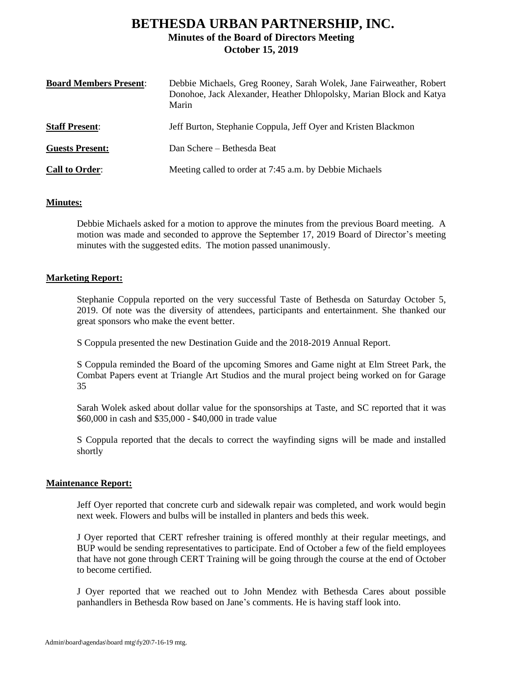# **BETHESDA URBAN PARTNERSHIP, INC. Minutes of the Board of Directors Meeting October 15, 2019**

| <b>Board Members Present:</b> | Debbie Michaels, Greg Rooney, Sarah Wolek, Jane Fairweather, Robert<br>Donohoe, Jack Alexander, Heather Dhlopolsky, Marian Block and Katya<br>Marin |
|-------------------------------|-----------------------------------------------------------------------------------------------------------------------------------------------------|
| <b>Staff Present:</b>         | Jeff Burton, Stephanie Coppula, Jeff Oyer and Kristen Blackmon                                                                                      |
| <b>Guests Present:</b>        | Dan Schere – Bethesda Beat                                                                                                                          |
| <b>Call to Order:</b>         | Meeting called to order at 7:45 a.m. by Debbie Michaels                                                                                             |

# **Minutes:**

Debbie Michaels asked for a motion to approve the minutes from the previous Board meeting. A motion was made and seconded to approve the September 17, 2019 Board of Director's meeting minutes with the suggested edits. The motion passed unanimously.

## **Marketing Report:**

Stephanie Coppula reported on the very successful Taste of Bethesda on Saturday October 5, 2019. Of note was the diversity of attendees, participants and entertainment. She thanked our great sponsors who make the event better.

S Coppula presented the new Destination Guide and the 2018-2019 Annual Report.

S Coppula reminded the Board of the upcoming Smores and Game night at Elm Street Park, the Combat Papers event at Triangle Art Studios and the mural project being worked on for Garage 35

Sarah Wolek asked about dollar value for the sponsorships at Taste, and SC reported that it was \$60,000 in cash and \$35,000 - \$40,000 in trade value

S Coppula reported that the decals to correct the wayfinding signs will be made and installed shortly

### **Maintenance Report:**

Jeff Oyer reported that concrete curb and sidewalk repair was completed, and work would begin next week. Flowers and bulbs will be installed in planters and beds this week.

J Oyer reported that CERT refresher training is offered monthly at their regular meetings, and BUP would be sending representatives to participate. End of October a few of the field employees that have not gone through CERT Training will be going through the course at the end of October to become certified.

J Oyer reported that we reached out to John Mendez with Bethesda Cares about possible panhandlers in Bethesda Row based on Jane's comments. He is having staff look into.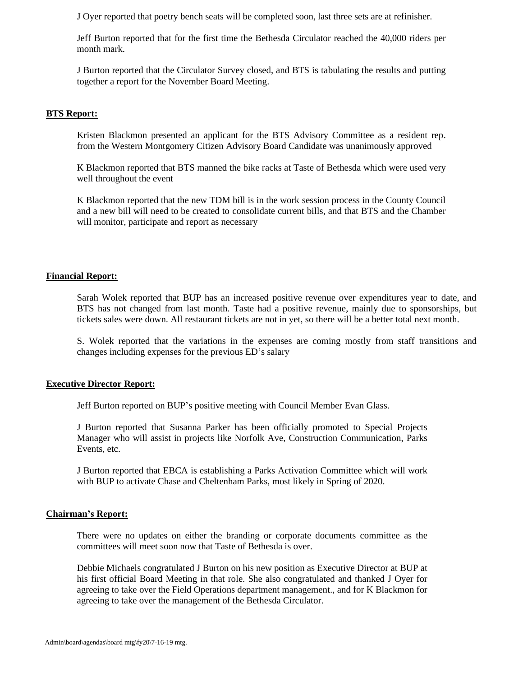J Oyer reported that poetry bench seats will be completed soon, last three sets are at refinisher.

Jeff Burton reported that for the first time the Bethesda Circulator reached the 40,000 riders per month mark.

J Burton reported that the Circulator Survey closed, and BTS is tabulating the results and putting together a report for the November Board Meeting.

### **BTS Report:**

Kristen Blackmon presented an applicant for the BTS Advisory Committee as a resident rep. from the Western Montgomery Citizen Advisory Board Candidate was unanimously approved

K Blackmon reported that BTS manned the bike racks at Taste of Bethesda which were used very well throughout the event

K Blackmon reported that the new TDM bill is in the work session process in the County Council and a new bill will need to be created to consolidate current bills, and that BTS and the Chamber will monitor, participate and report as necessary

### **Financial Report:**

Sarah Wolek reported that BUP has an increased positive revenue over expenditures year to date, and BTS has not changed from last month. Taste had a positive revenue, mainly due to sponsorships, but tickets sales were down. All restaurant tickets are not in yet, so there will be a better total next month.

S. Wolek reported that the variations in the expenses are coming mostly from staff transitions and changes including expenses for the previous ED's salary

### **Executive Director Report:**

Jeff Burton reported on BUP's positive meeting with Council Member Evan Glass.

J Burton reported that Susanna Parker has been officially promoted to Special Projects Manager who will assist in projects like Norfolk Ave, Construction Communication, Parks Events, etc.

J Burton reported that EBCA is establishing a Parks Activation Committee which will work with BUP to activate Chase and Cheltenham Parks, most likely in Spring of 2020.

## **Chairman's Report:**

There were no updates on either the branding or corporate documents committee as the committees will meet soon now that Taste of Bethesda is over.

Debbie Michaels congratulated J Burton on his new position as Executive Director at BUP at his first official Board Meeting in that role. She also congratulated and thanked J Oyer for agreeing to take over the Field Operations department management., and for K Blackmon for agreeing to take over the management of the Bethesda Circulator.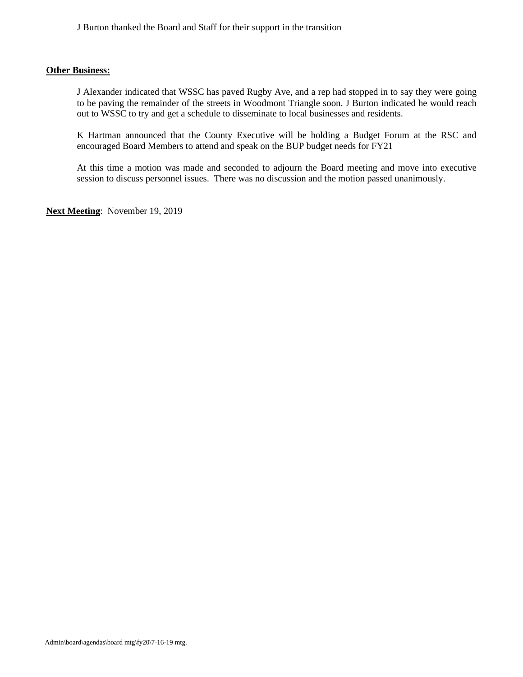J Burton thanked the Board and Staff for their support in the transition

## **Other Business:**

J Alexander indicated that WSSC has paved Rugby Ave, and a rep had stopped in to say they were going to be paving the remainder of the streets in Woodmont Triangle soon. J Burton indicated he would reach out to WSSC to try and get a schedule to disseminate to local businesses and residents.

K Hartman announced that the County Executive will be holding a Budget Forum at the RSC and encouraged Board Members to attend and speak on the BUP budget needs for FY21

At this time a motion was made and seconded to adjourn the Board meeting and move into executive session to discuss personnel issues. There was no discussion and the motion passed unanimously.

**Next Meeting**: November 19, 2019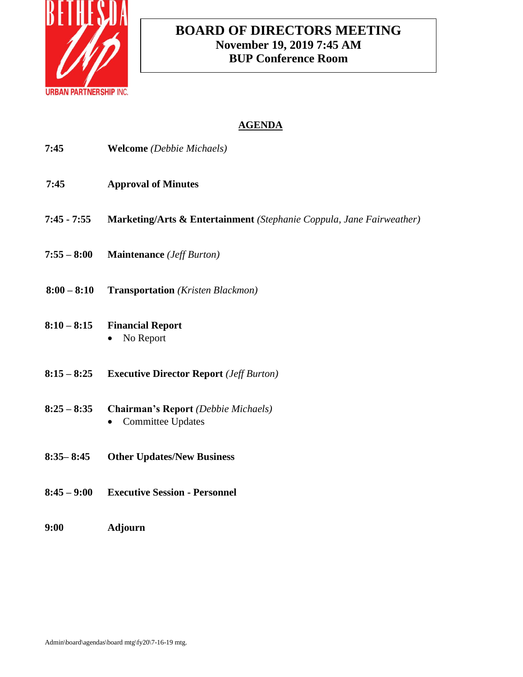

# **BOARD OF DIRECTORS MEETING November 19, 2019 7:45 AM BUP Conference Room**

| 7:45          | <b>Welcome</b> (Debbie Michaels)                                       |
|---------------|------------------------------------------------------------------------|
| 7:45          | <b>Approval of Minutes</b>                                             |
| $7:45 - 7:55$ | Marketing/Arts & Entertainment (Stephanie Coppula, Jane Fairweather)   |
| $7:55 - 8:00$ | <b>Maintenance</b> ( <i>Jeff Burton</i> )                              |
| $8:00 - 8:10$ | <b>Transportation</b> (Kristen Blackmon)                               |
| $8:10 - 8:15$ | <b>Financial Report</b><br>No Report                                   |
| $8:15 - 8:25$ | <b>Executive Director Report</b> ( <i>Jeff Burton</i> )                |
| $8:25 - 8:35$ | <b>Chairman's Report</b> (Debbie Michaels)<br><b>Committee Updates</b> |
| $8:35 - 8:45$ | <b>Other Updates/New Business</b>                                      |
| $8:45 - 9:00$ | <b>Executive Session - Personnel</b>                                   |
| 9:00          | <b>Adjourn</b>                                                         |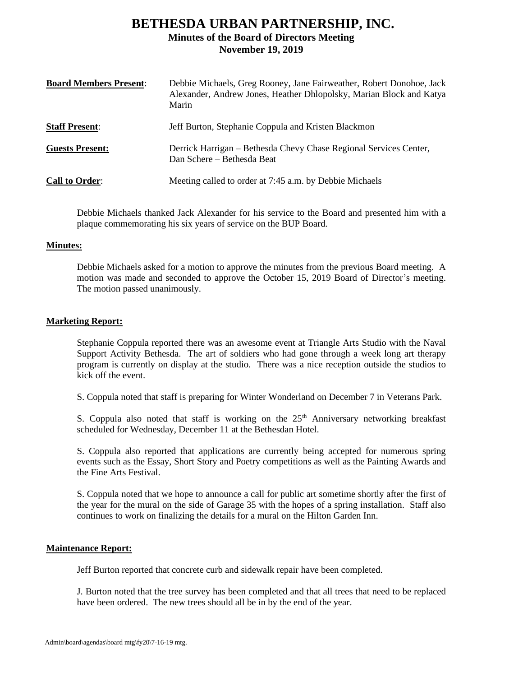# **BETHESDA URBAN PARTNERSHIP, INC. Minutes of the Board of Directors Meeting November 19, 2019**

| <b>Board Members Present:</b> | Debbie Michaels, Greg Rooney, Jane Fairweather, Robert Donohoe, Jack<br>Alexander, Andrew Jones, Heather Dhlopolsky, Marian Block and Katya<br>Marin |
|-------------------------------|------------------------------------------------------------------------------------------------------------------------------------------------------|
| <b>Staff Present:</b>         | Jeff Burton, Stephanie Coppula and Kristen Blackmon                                                                                                  |
| <b>Guests Present:</b>        | Derrick Harrigan – Bethesda Chevy Chase Regional Services Center,<br>Dan Schere - Bethesda Beat                                                      |
| <b>Call to Order:</b>         | Meeting called to order at 7:45 a.m. by Debbie Michaels                                                                                              |

Debbie Michaels thanked Jack Alexander for his service to the Board and presented him with a plaque commemorating his six years of service on the BUP Board.

### **Minutes:**

Debbie Michaels asked for a motion to approve the minutes from the previous Board meeting. A motion was made and seconded to approve the October 15, 2019 Board of Director's meeting. The motion passed unanimously.

## **Marketing Report:**

Stephanie Coppula reported there was an awesome event at Triangle Arts Studio with the Naval Support Activity Bethesda. The art of soldiers who had gone through a week long art therapy program is currently on display at the studio. There was a nice reception outside the studios to kick off the event.

S. Coppula noted that staff is preparing for Winter Wonderland on December 7 in Veterans Park.

S. Coppula also noted that staff is working on the 25<sup>th</sup> Anniversary networking breakfast scheduled for Wednesday, December 11 at the Bethesdan Hotel.

S. Coppula also reported that applications are currently being accepted for numerous spring events such as the Essay, Short Story and Poetry competitions as well as the Painting Awards and the Fine Arts Festival.

S. Coppula noted that we hope to announce a call for public art sometime shortly after the first of the year for the mural on the side of Garage 35 with the hopes of a spring installation. Staff also continues to work on finalizing the details for a mural on the Hilton Garden Inn.

# **Maintenance Report:**

Jeff Burton reported that concrete curb and sidewalk repair have been completed.

J. Burton noted that the tree survey has been completed and that all trees that need to be replaced have been ordered. The new trees should all be in by the end of the year.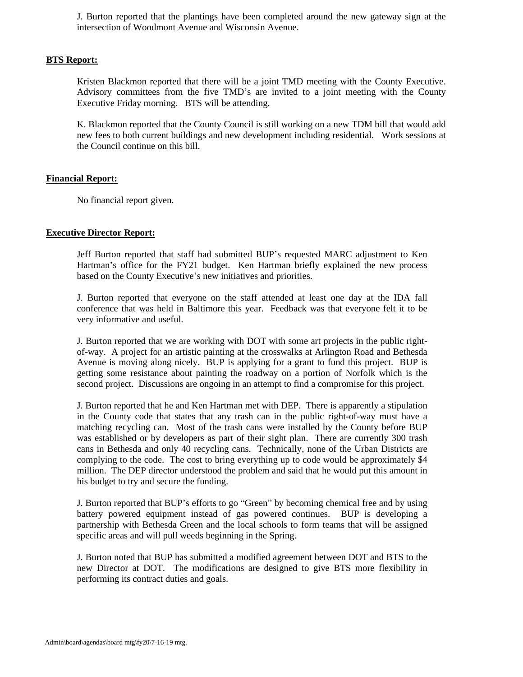J. Burton reported that the plantings have been completed around the new gateway sign at the intersection of Woodmont Avenue and Wisconsin Avenue.

## **BTS Report:**

Kristen Blackmon reported that there will be a joint TMD meeting with the County Executive. Advisory committees from the five TMD's are invited to a joint meeting with the County Executive Friday morning. BTS will be attending.

K. Blackmon reported that the County Council is still working on a new TDM bill that would add new fees to both current buildings and new development including residential. Work sessions at the Council continue on this bill.

# **Financial Report:**

No financial report given.

# **Executive Director Report:**

Jeff Burton reported that staff had submitted BUP's requested MARC adjustment to Ken Hartman's office for the FY21 budget. Ken Hartman briefly explained the new process based on the County Executive's new initiatives and priorities.

J. Burton reported that everyone on the staff attended at least one day at the IDA fall conference that was held in Baltimore this year. Feedback was that everyone felt it to be very informative and useful.

J. Burton reported that we are working with DOT with some art projects in the public rightof-way. A project for an artistic painting at the crosswalks at Arlington Road and Bethesda Avenue is moving along nicely. BUP is applying for a grant to fund this project. BUP is getting some resistance about painting the roadway on a portion of Norfolk which is the second project. Discussions are ongoing in an attempt to find a compromise for this project.

J. Burton reported that he and Ken Hartman met with DEP. There is apparently a stipulation in the County code that states that any trash can in the public right-of-way must have a matching recycling can. Most of the trash cans were installed by the County before BUP was established or by developers as part of their sight plan. There are currently 300 trash cans in Bethesda and only 40 recycling cans. Technically, none of the Urban Districts are complying to the code. The cost to bring everything up to code would be approximately \$4 million. The DEP director understood the problem and said that he would put this amount in his budget to try and secure the funding.

J. Burton reported that BUP's efforts to go "Green" by becoming chemical free and by using battery powered equipment instead of gas powered continues. BUP is developing a partnership with Bethesda Green and the local schools to form teams that will be assigned specific areas and will pull weeds beginning in the Spring.

J. Burton noted that BUP has submitted a modified agreement between DOT and BTS to the new Director at DOT. The modifications are designed to give BTS more flexibility in performing its contract duties and goals.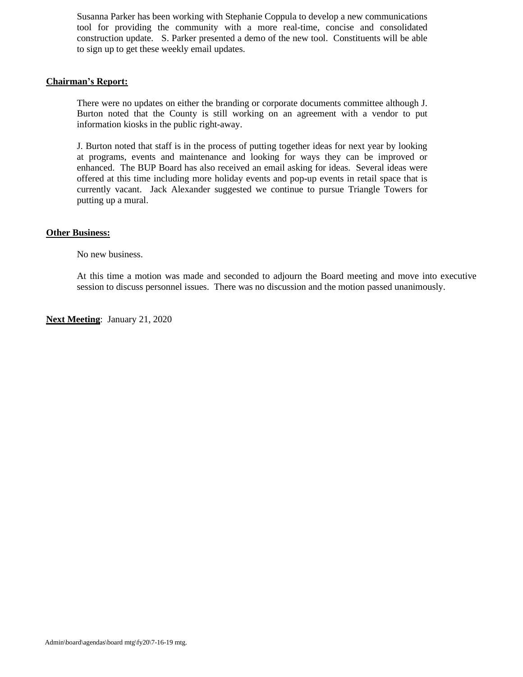Susanna Parker has been working with Stephanie Coppula to develop a new communications tool for providing the community with a more real-time, concise and consolidated construction update. S. Parker presented a demo of the new tool. Constituents will be able to sign up to get these weekly email updates.

## **Chairman's Report:**

There were no updates on either the branding or corporate documents committee although J. Burton noted that the County is still working on an agreement with a vendor to put information kiosks in the public right-away.

J. Burton noted that staff is in the process of putting together ideas for next year by looking at programs, events and maintenance and looking for ways they can be improved or enhanced. The BUP Board has also received an email asking for ideas. Several ideas were offered at this time including more holiday events and pop-up events in retail space that is currently vacant. Jack Alexander suggested we continue to pursue Triangle Towers for putting up a mural.

## **Other Business:**

No new business.

At this time a motion was made and seconded to adjourn the Board meeting and move into executive session to discuss personnel issues. There was no discussion and the motion passed unanimously.

**Next Meeting**: January 21, 2020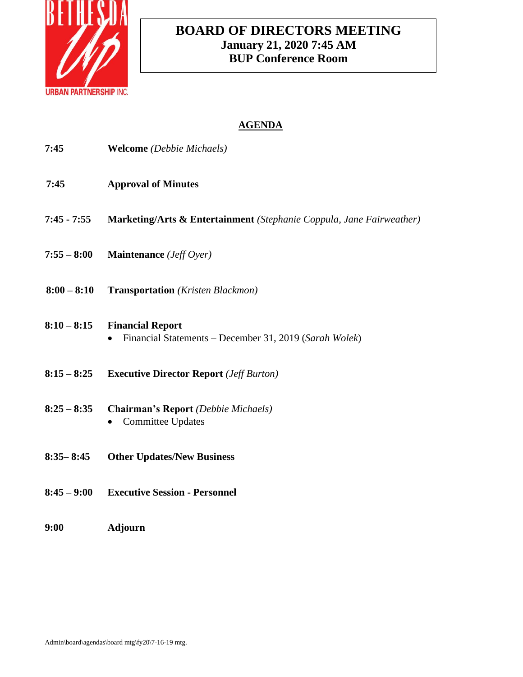

# **BOARD OF DIRECTORS MEETING January 21, 2020 7:45 AM BUP Conference Room**

| 7:45          | <b>Welcome</b> (Debbie Michaels)                                                  |
|---------------|-----------------------------------------------------------------------------------|
| 7:45          | <b>Approval of Minutes</b>                                                        |
| $7:45 - 7:55$ | Marketing/Arts & Entertainment (Stephanie Coppula, Jane Fairweather)              |
| $7:55 - 8:00$ | Maintenance (Jeff Oyer)                                                           |
| $8:00 - 8:10$ | <b>Transportation</b> (Kristen Blackmon)                                          |
| $8:10 - 8:15$ | <b>Financial Report</b><br>Financial Statements – December 31, 2019 (Sarah Wolek) |
| $8:15 - 8:25$ | <b>Executive Director Report (Jeff Burton)</b>                                    |
| $8:25 - 8:35$ | <b>Chairman's Report</b> (Debbie Michaels)<br><b>Committee Updates</b>            |
| $8:35 - 8:45$ | <b>Other Updates/New Business</b>                                                 |
| $8:45 - 9:00$ | <b>Executive Session - Personnel</b>                                              |
| 9:00          | <b>Adjourn</b>                                                                    |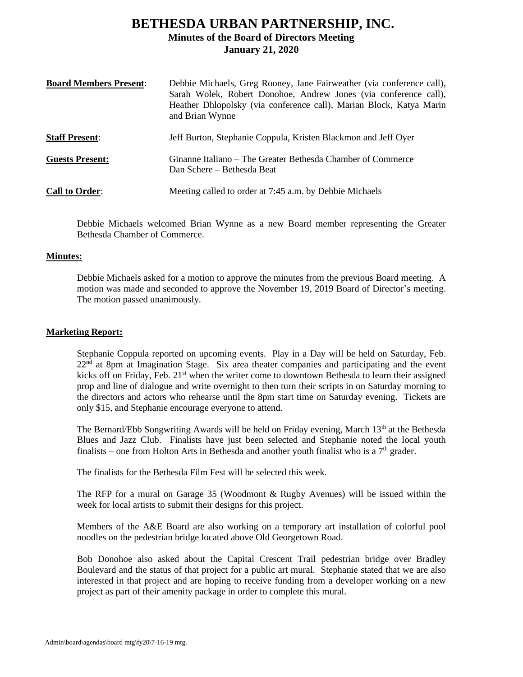# **BETHESDA URBAN PARTNERSHIP, INC. Minutes of the Board of Directors Meeting January 21, 2020**

| <b>Board Members Present:</b> | Debbie Michaels, Greg Rooney, Jane Fairweather (via conference call),<br>Sarah Wolek, Robert Donohoe, Andrew Jones (via conference call),<br>Heather Dhlopolsky (via conference call), Marian Block, Katya Marin<br>and Brian Wynne |
|-------------------------------|-------------------------------------------------------------------------------------------------------------------------------------------------------------------------------------------------------------------------------------|
| <b>Staff Present:</b>         | Jeff Burton, Stephanie Coppula, Kristen Blackmon and Jeff Oyer                                                                                                                                                                      |
| <b>Guests Present:</b>        | Ginanne Italiano – The Greater Bethesda Chamber of Commerce<br>Dan Schere – Bethesda Beat                                                                                                                                           |
| <b>Call to Order:</b>         | Meeting called to order at 7:45 a.m. by Debbie Michaels                                                                                                                                                                             |

Debbie Michaels welcomed Brian Wynne as a new Board member representing the Greater Bethesda Chamber of Commerce.

## **Minutes:**

Debbie Michaels asked for a motion to approve the minutes from the previous Board meeting. A motion was made and seconded to approve the November 19, 2019 Board of Director's meeting. The motion passed unanimously.

## **Marketing Report:**

Stephanie Coppula reported on upcoming events. Play in a Day will be held on Saturday, Feb.  $22<sup>nd</sup>$  at 8pm at Imagination Stage. Six area theater companies and participating and the event kicks off on Friday, Feb. 21<sup>st</sup> when the writer come to downtown Bethesda to learn their assigned prop and line of dialogue and write overnight to then turn their scripts in on Saturday morning to the directors and actors who rehearse until the 8pm start time on Saturday evening. Tickets are only \$15, and Stephanie encourage everyone to attend.

The Bernard/Ebb Songwriting Awards will be held on Friday evening, March  $13<sup>th</sup>$  at the Bethesda Blues and Jazz Club. Finalists have just been selected and Stephanie noted the local youth finalists – one from Holton Arts in Bethesda and another youth finalist who is a  $7<sup>th</sup>$  grader.

The finalists for the Bethesda Film Fest will be selected this week.

The RFP for a mural on Garage 35 (Woodmont & Rugby Avenues) will be issued within the week for local artists to submit their designs for this project.

Members of the A&E Board are also working on a temporary art installation of colorful pool noodles on the pedestrian bridge located above Old Georgetown Road.

Bob Donohoe also asked about the Capital Crescent Trail pedestrian bridge over Bradley Boulevard and the status of that project for a public art mural. Stephanie stated that we are also interested in that project and are hoping to receive funding from a developer working on a new project as part of their amenity package in order to complete this mural.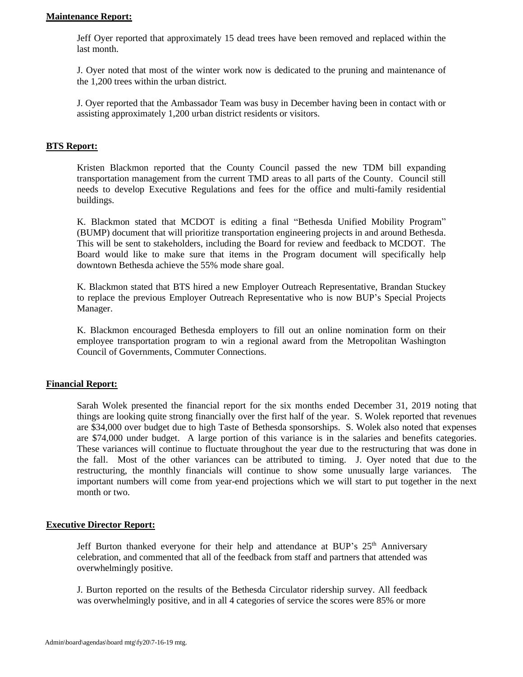## **Maintenance Report:**

Jeff Oyer reported that approximately 15 dead trees have been removed and replaced within the last month.

J. Oyer noted that most of the winter work now is dedicated to the pruning and maintenance of the 1,200 trees within the urban district.

J. Oyer reported that the Ambassador Team was busy in December having been in contact with or assisting approximately 1,200 urban district residents or visitors.

### **BTS Report:**

Kristen Blackmon reported that the County Council passed the new TDM bill expanding transportation management from the current TMD areas to all parts of the County. Council still needs to develop Executive Regulations and fees for the office and multi-family residential buildings.

K. Blackmon stated that MCDOT is editing a final "Bethesda Unified Mobility Program" (BUMP) document that will prioritize transportation engineering projects in and around Bethesda. This will be sent to stakeholders, including the Board for review and feedback to MCDOT. The Board would like to make sure that items in the Program document will specifically help downtown Bethesda achieve the 55% mode share goal.

K. Blackmon stated that BTS hired a new Employer Outreach Representative, Brandan Stuckey to replace the previous Employer Outreach Representative who is now BUP's Special Projects Manager.

K. Blackmon encouraged Bethesda employers to fill out an online nomination form on their employee transportation program to win a regional award from the Metropolitan Washington Council of Governments, Commuter Connections.

### **Financial Report:**

Sarah Wolek presented the financial report for the six months ended December 31, 2019 noting that things are looking quite strong financially over the first half of the year. S. Wolek reported that revenues are \$34,000 over budget due to high Taste of Bethesda sponsorships. S. Wolek also noted that expenses are \$74,000 under budget. A large portion of this variance is in the salaries and benefits categories. These variances will continue to fluctuate throughout the year due to the restructuring that was done in the fall. Most of the other variances can be attributed to timing. J. Oyer noted that due to the restructuring, the monthly financials will continue to show some unusually large variances. The important numbers will come from year-end projections which we will start to put together in the next month or two.

### **Executive Director Report:**

Jeff Burton thanked everyone for their help and attendance at BUP's  $25<sup>th</sup>$  Anniversary celebration, and commented that all of the feedback from staff and partners that attended was overwhelmingly positive.

J. Burton reported on the results of the Bethesda Circulator ridership survey. All feedback was overwhelmingly positive, and in all 4 categories of service the scores were 85% or more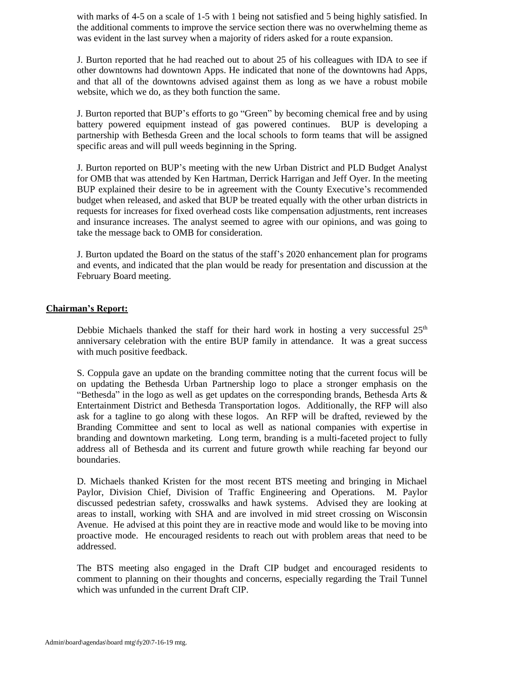with marks of 4-5 on a scale of 1-5 with 1 being not satisfied and 5 being highly satisfied. In the additional comments to improve the service section there was no overwhelming theme as was evident in the last survey when a majority of riders asked for a route expansion.

J. Burton reported that he had reached out to about 25 of his colleagues with IDA to see if other downtowns had downtown Apps. He indicated that none of the downtowns had Apps, and that all of the downtowns advised against them as long as we have a robust mobile website, which we do, as they both function the same.

J. Burton reported that BUP's efforts to go "Green" by becoming chemical free and by using battery powered equipment instead of gas powered continues. BUP is developing a partnership with Bethesda Green and the local schools to form teams that will be assigned specific areas and will pull weeds beginning in the Spring.

J. Burton reported on BUP's meeting with the new Urban District and PLD Budget Analyst for OMB that was attended by Ken Hartman, Derrick Harrigan and Jeff Oyer. In the meeting BUP explained their desire to be in agreement with the County Executive's recommended budget when released, and asked that BUP be treated equally with the other urban districts in requests for increases for fixed overhead costs like compensation adjustments, rent increases and insurance increases. The analyst seemed to agree with our opinions, and was going to take the message back to OMB for consideration.

J. Burton updated the Board on the status of the staff's 2020 enhancement plan for programs and events, and indicated that the plan would be ready for presentation and discussion at the February Board meeting.

## **Chairman's Report:**

Debbie Michaels thanked the staff for their hard work in hosting a very successful  $25<sup>th</sup>$ anniversary celebration with the entire BUP family in attendance. It was a great success with much positive feedback.

S. Coppula gave an update on the branding committee noting that the current focus will be on updating the Bethesda Urban Partnership logo to place a stronger emphasis on the "Bethesda" in the logo as well as get updates on the corresponding brands, Bethesda Arts  $\&$ Entertainment District and Bethesda Transportation logos. Additionally, the RFP will also ask for a tagline to go along with these logos. An RFP will be drafted, reviewed by the Branding Committee and sent to local as well as national companies with expertise in branding and downtown marketing. Long term, branding is a multi-faceted project to fully address all of Bethesda and its current and future growth while reaching far beyond our boundaries.

D. Michaels thanked Kristen for the most recent BTS meeting and bringing in Michael Paylor, Division Chief, Division of Traffic Engineering and Operations. M. Paylor discussed pedestrian safety, crosswalks and hawk systems. Advised they are looking at areas to install, working with SHA and are involved in mid street crossing on Wisconsin Avenue. He advised at this point they are in reactive mode and would like to be moving into proactive mode. He encouraged residents to reach out with problem areas that need to be addressed.

The BTS meeting also engaged in the Draft CIP budget and encouraged residents to comment to planning on their thoughts and concerns, especially regarding the Trail Tunnel which was unfunded in the current Draft CIP.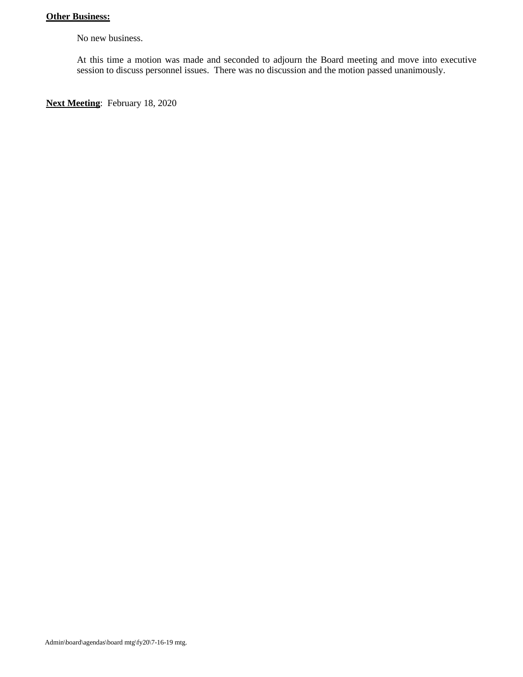# **Other Business:**

No new business.

At this time a motion was made and seconded to adjourn the Board meeting and move into executive session to discuss personnel issues. There was no discussion and the motion passed unanimously.

**Next Meeting**: February 18, 2020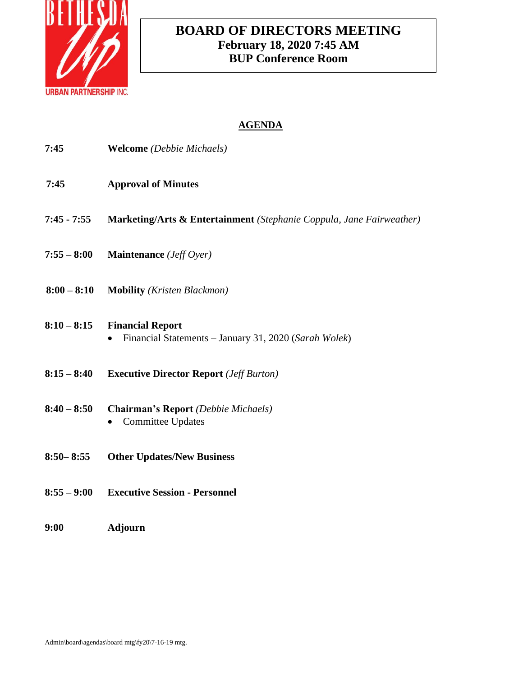

# **BOARD OF DIRECTORS MEETING February 18, 2020 7:45 AM BUP Conference Room**

| 7:45          | <b>Welcome</b> (Debbie Michaels)                                                 |
|---------------|----------------------------------------------------------------------------------|
| 7:45          | <b>Approval of Minutes</b>                                                       |
| $7:45 - 7:55$ | Marketing/Arts & Entertainment (Stephanie Coppula, Jane Fairweather)             |
| $7:55 - 8:00$ | Maintenance (Jeff Oyer)                                                          |
| $8:00 - 8:10$ | <b>Mobility</b> ( <i>Kristen Blackmon</i> )                                      |
| $8:10 - 8:15$ | <b>Financial Report</b><br>Financial Statements - January 31, 2020 (Sarah Wolek) |
| $8:15 - 8:40$ | <b>Executive Director Report (Jeff Burton)</b>                                   |
| $8:40 - 8:50$ | <b>Chairman's Report</b> (Debbie Michaels)<br><b>Committee Updates</b>           |
| $8:50 - 8:55$ | <b>Other Updates/New Business</b>                                                |
| $8:55 - 9:00$ | <b>Executive Session - Personnel</b>                                             |
| 9:00          | <b>Adjourn</b>                                                                   |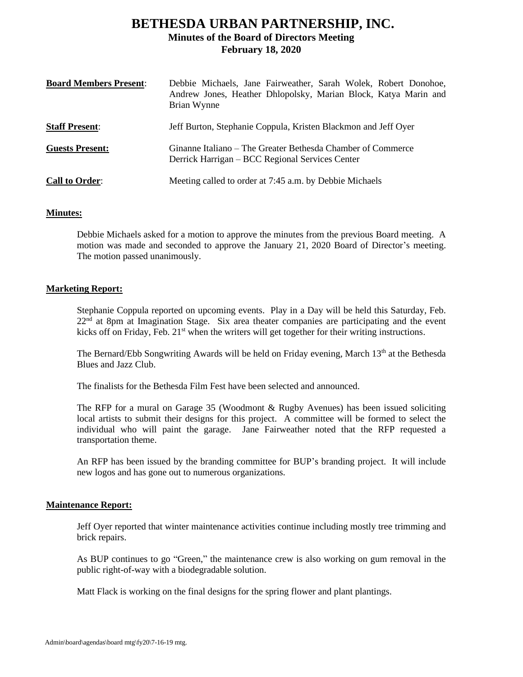# **BETHESDA URBAN PARTNERSHIP, INC. Minutes of the Board of Directors Meeting February 18, 2020**

| <b>Board Members Present:</b> | Debbie Michaels, Jane Fairweather, Sarah Wolek, Robert Donohoe,<br>Andrew Jones, Heather Dhlopolsky, Marian Block, Katya Marin and<br>Brian Wynne |
|-------------------------------|---------------------------------------------------------------------------------------------------------------------------------------------------|
| <b>Staff Present:</b>         | Jeff Burton, Stephanie Coppula, Kristen Blackmon and Jeff Oyer                                                                                    |
| <b>Guests Present:</b>        | Ginanne Italiano – The Greater Bethesda Chamber of Commerce<br>Derrick Harrigan – BCC Regional Services Center                                    |
| <b>Call to Order:</b>         | Meeting called to order at 7:45 a.m. by Debbie Michaels                                                                                           |

# **Minutes:**

Debbie Michaels asked for a motion to approve the minutes from the previous Board meeting. A motion was made and seconded to approve the January 21, 2020 Board of Director's meeting. The motion passed unanimously.

# **Marketing Report:**

Stephanie Coppula reported on upcoming events. Play in a Day will be held this Saturday, Feb.  $22<sup>nd</sup>$  at 8pm at Imagination Stage. Six area theater companies are participating and the event kicks off on Friday, Feb. 21<sup>st</sup> when the writers will get together for their writing instructions.

The Bernard/Ebb Songwriting Awards will be held on Friday evening, March 13<sup>th</sup> at the Bethesda Blues and Jazz Club.

The finalists for the Bethesda Film Fest have been selected and announced.

The RFP for a mural on Garage 35 (Woodmont & Rugby Avenues) has been issued soliciting local artists to submit their designs for this project. A committee will be formed to select the individual who will paint the garage. Jane Fairweather noted that the RFP requested a transportation theme.

An RFP has been issued by the branding committee for BUP's branding project. It will include new logos and has gone out to numerous organizations.

### **Maintenance Report:**

Jeff Oyer reported that winter maintenance activities continue including mostly tree trimming and brick repairs.

As BUP continues to go "Green," the maintenance crew is also working on gum removal in the public right-of-way with a biodegradable solution.

Matt Flack is working on the final designs for the spring flower and plant plantings.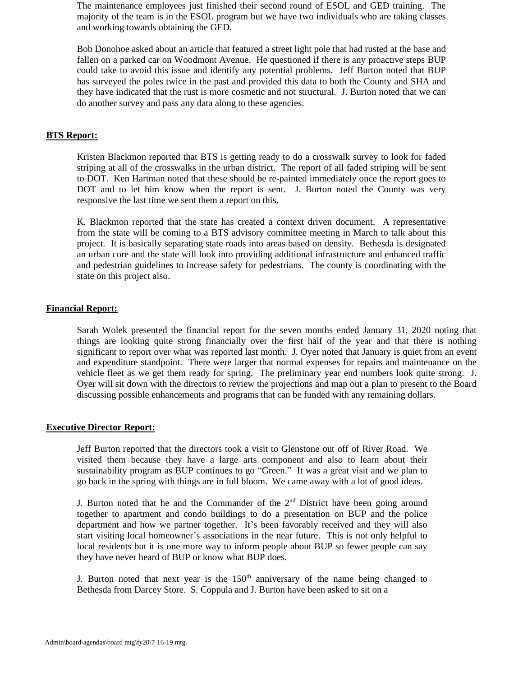The maintenance employees just finished their second round of ESOL and GED training. The majority of the team is in the ESOL program but we have two individuals who are taking classes and working towards obtaining the GED.

Bob Donohoe asked about an article that featured a street light pole that had rusted at the base and fallen on a parked car on Woodmont Avenue. He questioned if there is any proactive steps BUP could take to avoid this issue and identify any potential problems. Jeff Burton noted that BUP has surveyed the poles twice in the past and provided this data to both the County and SHA and they have indicated that the rust is more cosmetic and not structural. J. Burton noted that we can do another survey and pass any data along to these agencies.

### **BTS Report:**

Kristen Blackmon reported that BTS is getting ready to do a crosswalk survey to look for faded striping at all of the crosswalks in the urban district. The report of all faded striping will be sent to DOT. Ken Hartman noted that these should be re-painted immediately once the report goes to DOT and to let him know when the report is sent. J. Burton noted the County was very responsive the last time we sent them a report on this.

K. Blackmon reported that the state has created a context driven document. A representative from the state will be coming to a BTS advisory committee meeting in March to talk about this project. It is basically separating state roads into areas based on density. Bethesda is designated an urban core and the state will look into providing additional infrastructure and enhanced traffic and pedestrian guidelines to increase safety for pedestrians. The county is coordinating with the state on this project also.

#### **Financial Report:**

Sarah Wolek presented the financial report for the seven months ended January 31, 2020 noting that things are looking quite strong financially over the first half of the year and that there is nothing significant to report over what was reported last month. J. Oyer noted that January is quiet from an event and expenditure standpoint. There were larger that normal expenses for repairs and maintenance on the vehicle fleet as we get them ready for spring. The preliminary year end numbers look quite strong. J. Oyer will sit down with the directors to review the projections and map out a plan to present to the Board discussing possible enhancements and programs that can be funded with any remaining dollars.

## **Executive Director Report:**

Jeff Burton reported that the directors took a visit to Glenstone out off of River Road. We visited them because they have a large arts component and also to learn about their sustainability program as BUP continues to go "Green." It was a great visit and we plan to go back in the spring with things are in full bloom. We came away with a lot of good ideas.

J. Burton noted that he and the Commander of the  $2<sup>nd</sup>$  District have been going around together to apartment and condo buildings to do a presentation on BUP and the police department and how we partner together. It's been favorably received and they will also start visiting local homeowner's associations in the near future. This is not only helpful to local residents but it is one more way to inform people about BUP so fewer people can say they have never heard of BUP or know what BUP does.

J. Burton noted that next year is the  $150<sup>th</sup>$  anniversary of the name being changed to Bethesda from Darcey Store. S. Coppula and J. Burton have been asked to sit on a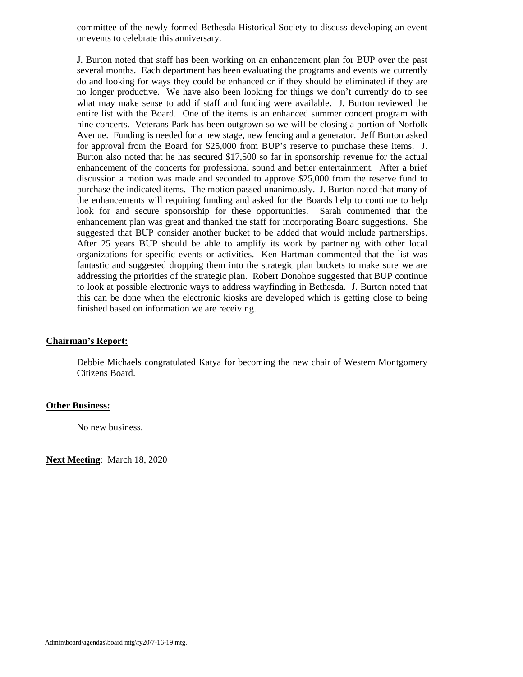committee of the newly formed Bethesda Historical Society to discuss developing an event or events to celebrate this anniversary.

J. Burton noted that staff has been working on an enhancement plan for BUP over the past several months. Each department has been evaluating the programs and events we currently do and looking for ways they could be enhanced or if they should be eliminated if they are no longer productive. We have also been looking for things we don't currently do to see what may make sense to add if staff and funding were available. J. Burton reviewed the entire list with the Board. One of the items is an enhanced summer concert program with nine concerts. Veterans Park has been outgrown so we will be closing a portion of Norfolk Avenue. Funding is needed for a new stage, new fencing and a generator. Jeff Burton asked for approval from the Board for \$25,000 from BUP's reserve to purchase these items. J. Burton also noted that he has secured \$17,500 so far in sponsorship revenue for the actual enhancement of the concerts for professional sound and better entertainment. After a brief discussion a motion was made and seconded to approve \$25,000 from the reserve fund to purchase the indicated items. The motion passed unanimously. J. Burton noted that many of the enhancements will requiring funding and asked for the Boards help to continue to help look for and secure sponsorship for these opportunities. Sarah commented that the enhancement plan was great and thanked the staff for incorporating Board suggestions. She suggested that BUP consider another bucket to be added that would include partnerships. After 25 years BUP should be able to amplify its work by partnering with other local organizations for specific events or activities. Ken Hartman commented that the list was fantastic and suggested dropping them into the strategic plan buckets to make sure we are addressing the priorities of the strategic plan. Robert Donohoe suggested that BUP continue to look at possible electronic ways to address wayfinding in Bethesda. J. Burton noted that this can be done when the electronic kiosks are developed which is getting close to being finished based on information we are receiving.

### **Chairman's Report:**

Debbie Michaels congratulated Katya for becoming the new chair of Western Montgomery Citizens Board.

#### **Other Business:**

No new business.

**Next Meeting**: March 18, 2020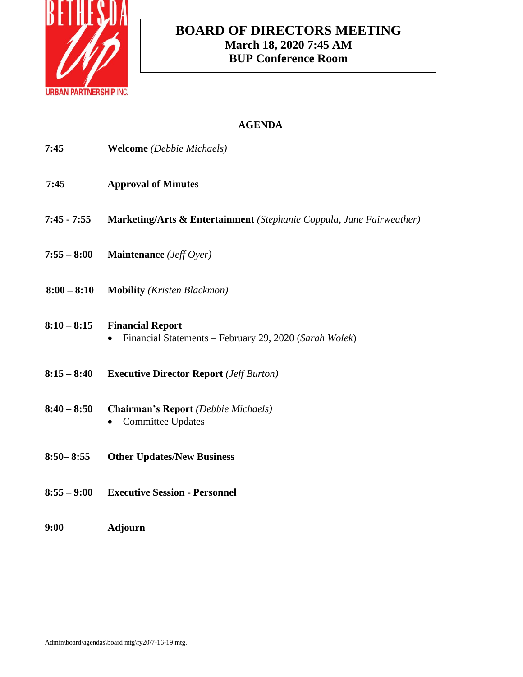

# **BOARD OF DIRECTORS MEETING March 18, 2020 7:45 AM BUP Conference Room**

| 7:45          | <b>Welcome</b> (Debbie Michaels)                                                  |
|---------------|-----------------------------------------------------------------------------------|
| 7:45          | <b>Approval of Minutes</b>                                                        |
| $7:45 - 7:55$ | Marketing/Arts & Entertainment (Stephanie Coppula, Jane Fairweather)              |
| $7:55 - 8:00$ | Maintenance (Jeff Oyer)                                                           |
| $8:00 - 8:10$ | <b>Mobility</b> (Kristen Blackmon)                                                |
| $8:10 - 8:15$ | <b>Financial Report</b><br>Financial Statements - February 29, 2020 (Sarah Wolek) |
| $8:15 - 8:40$ | <b>Executive Director Report</b> (Jeff Burton)                                    |
| $8:40 - 8:50$ | <b>Chairman's Report</b> (Debbie Michaels)<br><b>Committee Updates</b>            |
| $8:50 - 8:55$ | <b>Other Updates/New Business</b>                                                 |
| $8:55 - 9:00$ | <b>Executive Session - Personnel</b>                                              |
| 9:00          | <b>Adjourn</b>                                                                    |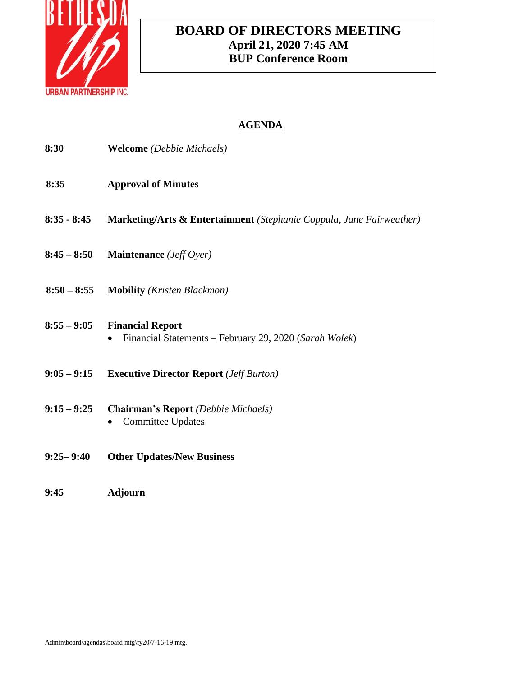

# **BOARD OF DIRECTORS MEETING April 21, 2020 7:45 AM BUP Conference Room**

| 8:30          | <b>Welcome</b> (Debbie Michaels)                                                  |
|---------------|-----------------------------------------------------------------------------------|
| 8:35          | <b>Approval of Minutes</b>                                                        |
| $8:35 - 8:45$ | Marketing/Arts & Entertainment (Stephanie Coppula, Jane Fairweather)              |
| $8:45 - 8:50$ | Maintenance (Jeff Oyer)                                                           |
| $8:50 - 8:55$ | <b>Mobility</b> (Kristen Blackmon)                                                |
| $8:55 - 9:05$ | <b>Financial Report</b><br>Financial Statements - February 29, 2020 (Sarah Wolek) |
| $9:05 - 9:15$ | <b>Executive Director Report</b> ( <i>Jeff Burton</i> )                           |
| $9:15 - 9:25$ | <b>Chairman's Report</b> (Debbie Michaels)<br><b>Committee Updates</b>            |
| $9:25 - 9:40$ | <b>Other Updates/New Business</b>                                                 |
| 9:45          | <b>Adjourn</b>                                                                    |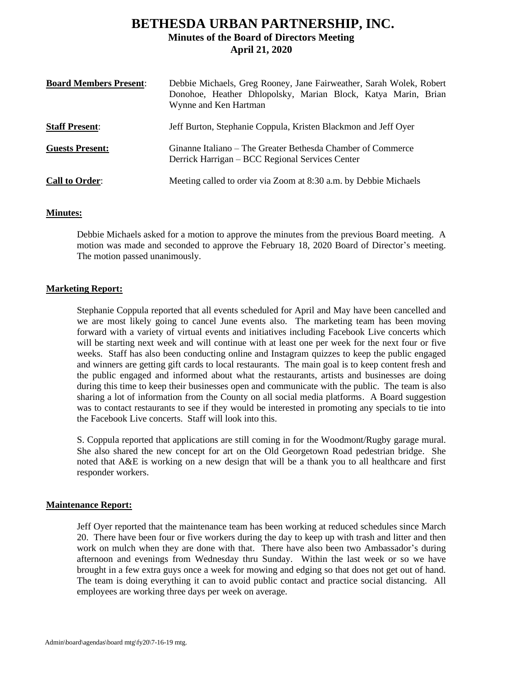# **BETHESDA URBAN PARTNERSHIP, INC. Minutes of the Board of Directors Meeting April 21, 2020**

| <b>Board Members Present:</b> | Debbie Michaels, Greg Rooney, Jane Fairweather, Sarah Wolek, Robert<br>Donohoe, Heather Dhlopolsky, Marian Block, Katya Marin, Brian<br>Wynne and Ken Hartman |
|-------------------------------|---------------------------------------------------------------------------------------------------------------------------------------------------------------|
| <b>Staff Present:</b>         | Jeff Burton, Stephanie Coppula, Kristen Blackmon and Jeff Oyer                                                                                                |
| <b>Guests Present:</b>        | Ginanne Italiano – The Greater Bethesda Chamber of Commerce<br>Derrick Harrigan – BCC Regional Services Center                                                |
| <b>Call to Order:</b>         | Meeting called to order via Zoom at 8:30 a.m. by Debbie Michaels                                                                                              |

# **Minutes:**

Debbie Michaels asked for a motion to approve the minutes from the previous Board meeting. A motion was made and seconded to approve the February 18, 2020 Board of Director's meeting. The motion passed unanimously.

# **Marketing Report:**

Stephanie Coppula reported that all events scheduled for April and May have been cancelled and we are most likely going to cancel June events also. The marketing team has been moving forward with a variety of virtual events and initiatives including Facebook Live concerts which will be starting next week and will continue with at least one per week for the next four or five weeks. Staff has also been conducting online and Instagram quizzes to keep the public engaged and winners are getting gift cards to local restaurants. The main goal is to keep content fresh and the public engaged and informed about what the restaurants, artists and businesses are doing during this time to keep their businesses open and communicate with the public. The team is also sharing a lot of information from the County on all social media platforms. A Board suggestion was to contact restaurants to see if they would be interested in promoting any specials to tie into the Facebook Live concerts. Staff will look into this.

S. Coppula reported that applications are still coming in for the Woodmont/Rugby garage mural. She also shared the new concept for art on the Old Georgetown Road pedestrian bridge. She noted that A&E is working on a new design that will be a thank you to all healthcare and first responder workers.

# **Maintenance Report:**

Jeff Oyer reported that the maintenance team has been working at reduced schedules since March 20. There have been four or five workers during the day to keep up with trash and litter and then work on mulch when they are done with that. There have also been two Ambassador's during afternoon and evenings from Wednesday thru Sunday. Within the last week or so we have brought in a few extra guys once a week for mowing and edging so that does not get out of hand. The team is doing everything it can to avoid public contact and practice social distancing. All employees are working three days per week on average.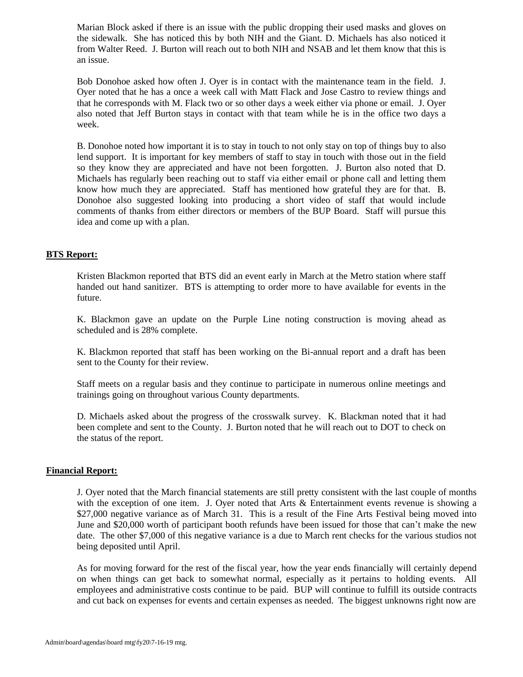Marian Block asked if there is an issue with the public dropping their used masks and gloves on the sidewalk. She has noticed this by both NIH and the Giant. D. Michaels has also noticed it from Walter Reed. J. Burton will reach out to both NIH and NSAB and let them know that this is an issue.

Bob Donohoe asked how often J. Oyer is in contact with the maintenance team in the field. J. Oyer noted that he has a once a week call with Matt Flack and Jose Castro to review things and that he corresponds with M. Flack two or so other days a week either via phone or email. J. Oyer also noted that Jeff Burton stays in contact with that team while he is in the office two days a week.

B. Donohoe noted how important it is to stay in touch to not only stay on top of things buy to also lend support. It is important for key members of staff to stay in touch with those out in the field so they know they are appreciated and have not been forgotten. J. Burton also noted that D. Michaels has regularly been reaching out to staff via either email or phone call and letting them know how much they are appreciated. Staff has mentioned how grateful they are for that. B. Donohoe also suggested looking into producing a short video of staff that would include comments of thanks from either directors or members of the BUP Board. Staff will pursue this idea and come up with a plan.

# **BTS Report:**

Kristen Blackmon reported that BTS did an event early in March at the Metro station where staff handed out hand sanitizer. BTS is attempting to order more to have available for events in the future.

K. Blackmon gave an update on the Purple Line noting construction is moving ahead as scheduled and is 28% complete.

K. Blackmon reported that staff has been working on the Bi-annual report and a draft has been sent to the County for their review.

Staff meets on a regular basis and they continue to participate in numerous online meetings and trainings going on throughout various County departments.

D. Michaels asked about the progress of the crosswalk survey. K. Blackman noted that it had been complete and sent to the County. J. Burton noted that he will reach out to DOT to check on the status of the report.

### **Financial Report:**

J. Oyer noted that the March financial statements are still pretty consistent with the last couple of months with the exception of one item. J. Oyer noted that Arts & Entertainment events revenue is showing a \$27,000 negative variance as of March 31. This is a result of the Fine Arts Festival being moved into June and \$20,000 worth of participant booth refunds have been issued for those that can't make the new date. The other \$7,000 of this negative variance is a due to March rent checks for the various studios not being deposited until April.

As for moving forward for the rest of the fiscal year, how the year ends financially will certainly depend on when things can get back to somewhat normal, especially as it pertains to holding events. All employees and administrative costs continue to be paid. BUP will continue to fulfill its outside contracts and cut back on expenses for events and certain expenses as needed. The biggest unknowns right now are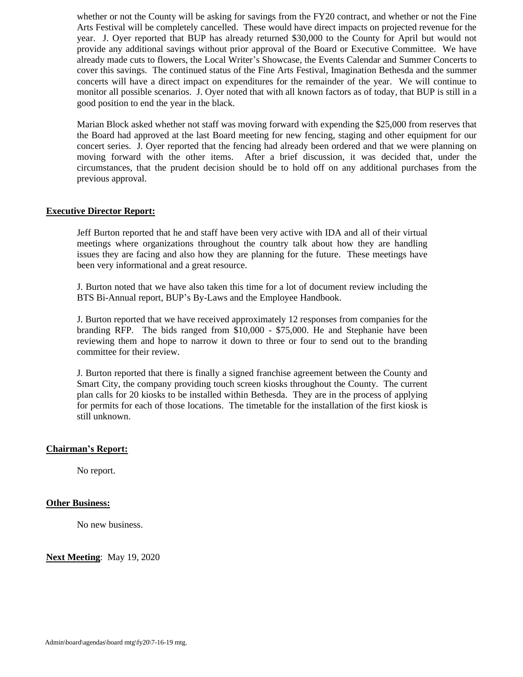whether or not the County will be asking for savings from the FY20 contract, and whether or not the Fine Arts Festival will be completely cancelled. These would have direct impacts on projected revenue for the year. J. Oyer reported that BUP has already returned \$30,000 to the County for April but would not provide any additional savings without prior approval of the Board or Executive Committee. We have already made cuts to flowers, the Local Writer's Showcase, the Events Calendar and Summer Concerts to cover this savings. The continued status of the Fine Arts Festival, Imagination Bethesda and the summer concerts will have a direct impact on expenditures for the remainder of the year. We will continue to monitor all possible scenarios. J. Oyer noted that with all known factors as of today, that BUP is still in a good position to end the year in the black.

Marian Block asked whether not staff was moving forward with expending the \$25,000 from reserves that the Board had approved at the last Board meeting for new fencing, staging and other equipment for our concert series. J. Oyer reported that the fencing had already been ordered and that we were planning on moving forward with the other items. After a brief discussion, it was decided that, under the circumstances, that the prudent decision should be to hold off on any additional purchases from the previous approval.

# **Executive Director Report:**

Jeff Burton reported that he and staff have been very active with IDA and all of their virtual meetings where organizations throughout the country talk about how they are handling issues they are facing and also how they are planning for the future. These meetings have been very informational and a great resource.

J. Burton noted that we have also taken this time for a lot of document review including the BTS Bi-Annual report, BUP's By-Laws and the Employee Handbook.

J. Burton reported that we have received approximately 12 responses from companies for the branding RFP. The bids ranged from \$10,000 - \$75,000. He and Stephanie have been reviewing them and hope to narrow it down to three or four to send out to the branding committee for their review.

J. Burton reported that there is finally a signed franchise agreement between the County and Smart City, the company providing touch screen kiosks throughout the County. The current plan calls for 20 kiosks to be installed within Bethesda. They are in the process of applying for permits for each of those locations. The timetable for the installation of the first kiosk is still unknown.

### **Chairman's Report:**

No report.

# **Other Business:**

No new business.

**Next Meeting**: May 19, 2020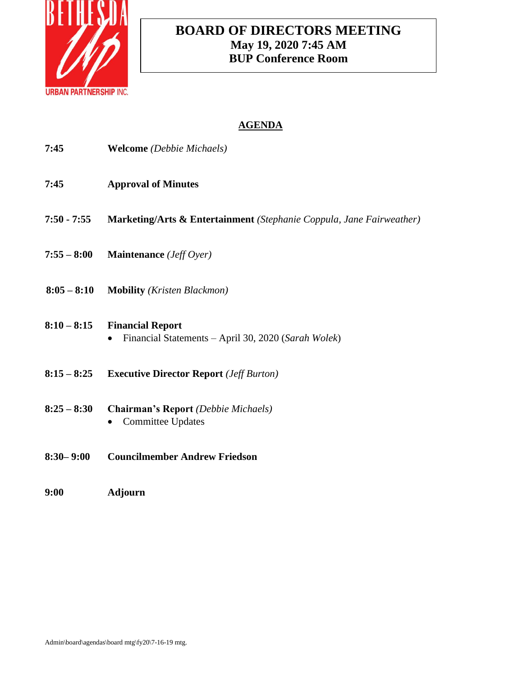

# **BOARD OF DIRECTORS MEETING May 19, 2020 7:45 AM BUP Conference Room**

| 7:45          | <b>Welcome</b> (Debbie Michaels)                                               |
|---------------|--------------------------------------------------------------------------------|
| 7:45          | <b>Approval of Minutes</b>                                                     |
| $7:50 - 7:55$ | Marketing/Arts & Entertainment (Stephanie Coppula, Jane Fairweather)           |
| $7:55 - 8:00$ | <b>Maintenance</b> ( <i>Jeff Oyer</i> )                                        |
| $8:05 - 8:10$ | <b>Mobility</b> ( <i>Kristen Blackmon</i> )                                    |
| $8:10 - 8:15$ | <b>Financial Report</b><br>Financial Statements - April 30, 2020 (Sarah Wolek) |
| $8:15 - 8:25$ | <b>Executive Director Report</b> ( <i>Jeff Burton</i> )                        |
| $8:25 - 8:30$ | <b>Chairman's Report</b> (Debbie Michaels)<br><b>Committee Updates</b>         |
| $8:30 - 9:00$ | <b>Councilmember Andrew Friedson</b>                                           |
| 9:00          | <b>Adjourn</b>                                                                 |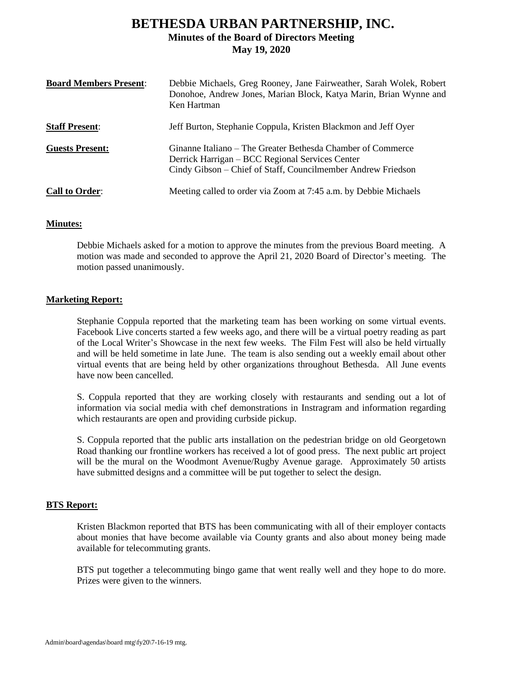# **BETHESDA URBAN PARTNERSHIP, INC. Minutes of the Board of Directors Meeting May 19, 2020**

| <b>Board Members Present:</b> | Debbie Michaels, Greg Rooney, Jane Fairweather, Sarah Wolek, Robert<br>Donohoe, Andrew Jones, Marian Block, Katya Marin, Brian Wynne and<br>Ken Hartman                        |
|-------------------------------|--------------------------------------------------------------------------------------------------------------------------------------------------------------------------------|
| <b>Staff Present:</b>         | Jeff Burton, Stephanie Coppula, Kristen Blackmon and Jeff Oyer                                                                                                                 |
| <b>Guests Present:</b>        | Ginanne Italiano – The Greater Bethesda Chamber of Commerce<br>Derrick Harrigan – BCC Regional Services Center<br>Cindy Gibson – Chief of Staff, Councilmember Andrew Friedson |
| <b>Call to Order:</b>         | Meeting called to order via Zoom at 7:45 a.m. by Debbie Michaels                                                                                                               |

## **Minutes:**

Debbie Michaels asked for a motion to approve the minutes from the previous Board meeting. A motion was made and seconded to approve the April 21, 2020 Board of Director's meeting. The motion passed unanimously.

## **Marketing Report:**

Stephanie Coppula reported that the marketing team has been working on some virtual events. Facebook Live concerts started a few weeks ago, and there will be a virtual poetry reading as part of the Local Writer's Showcase in the next few weeks. The Film Fest will also be held virtually and will be held sometime in late June. The team is also sending out a weekly email about other virtual events that are being held by other organizations throughout Bethesda. All June events have now been cancelled.

S. Coppula reported that they are working closely with restaurants and sending out a lot of information via social media with chef demonstrations in Instragram and information regarding which restaurants are open and providing curbside pickup.

S. Coppula reported that the public arts installation on the pedestrian bridge on old Georgetown Road thanking our frontline workers has received a lot of good press. The next public art project will be the mural on the Woodmont Avenue/Rugby Avenue garage. Approximately 50 artists have submitted designs and a committee will be put together to select the design.

# **BTS Report:**

Kristen Blackmon reported that BTS has been communicating with all of their employer contacts about monies that have become available via County grants and also about money being made available for telecommuting grants.

BTS put together a telecommuting bingo game that went really well and they hope to do more. Prizes were given to the winners.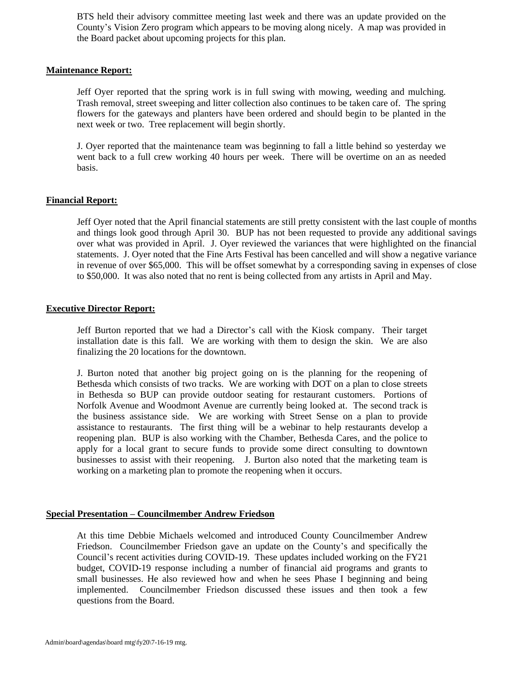BTS held their advisory committee meeting last week and there was an update provided on the County's Vision Zero program which appears to be moving along nicely. A map was provided in the Board packet about upcoming projects for this plan.

## **Maintenance Report:**

Jeff Oyer reported that the spring work is in full swing with mowing, weeding and mulching. Trash removal, street sweeping and litter collection also continues to be taken care of. The spring flowers for the gateways and planters have been ordered and should begin to be planted in the next week or two. Tree replacement will begin shortly.

J. Oyer reported that the maintenance team was beginning to fall a little behind so yesterday we went back to a full crew working 40 hours per week. There will be overtime on an as needed basis.

## **Financial Report:**

Jeff Oyer noted that the April financial statements are still pretty consistent with the last couple of months and things look good through April 30. BUP has not been requested to provide any additional savings over what was provided in April. J. Oyer reviewed the variances that were highlighted on the financial statements. J. Oyer noted that the Fine Arts Festival has been cancelled and will show a negative variance in revenue of over \$65,000. This will be offset somewhat by a corresponding saving in expenses of close to \$50,000. It was also noted that no rent is being collected from any artists in April and May.

### **Executive Director Report:**

Jeff Burton reported that we had a Director's call with the Kiosk company. Their target installation date is this fall. We are working with them to design the skin. We are also finalizing the 20 locations for the downtown.

J. Burton noted that another big project going on is the planning for the reopening of Bethesda which consists of two tracks. We are working with DOT on a plan to close streets in Bethesda so BUP can provide outdoor seating for restaurant customers. Portions of Norfolk Avenue and Woodmont Avenue are currently being looked at. The second track is the business assistance side. We are working with Street Sense on a plan to provide assistance to restaurants. The first thing will be a webinar to help restaurants develop a reopening plan. BUP is also working with the Chamber, Bethesda Cares, and the police to apply for a local grant to secure funds to provide some direct consulting to downtown businesses to assist with their reopening. J. Burton also noted that the marketing team is working on a marketing plan to promote the reopening when it occurs.

### **Special Presentation – Councilmember Andrew Friedson**

At this time Debbie Michaels welcomed and introduced County Councilmember Andrew Friedson. Councilmember Friedson gave an update on the County's and specifically the Council's recent activities during COVID-19. These updates included working on the FY21 budget, COVID-19 response including a number of financial aid programs and grants to small businesses. He also reviewed how and when he sees Phase I beginning and being implemented. Councilmember Friedson discussed these issues and then took a few questions from the Board.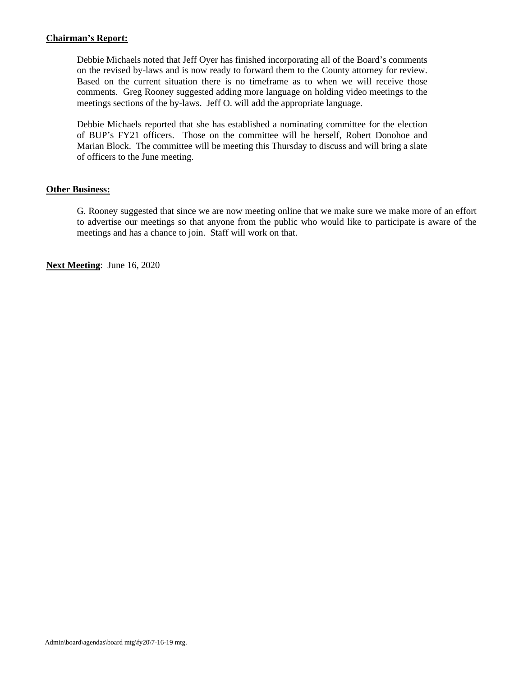# **Chairman's Report:**

Debbie Michaels noted that Jeff Oyer has finished incorporating all of the Board's comments on the revised by-laws and is now ready to forward them to the County attorney for review. Based on the current situation there is no timeframe as to when we will receive those comments. Greg Rooney suggested adding more language on holding video meetings to the meetings sections of the by-laws. Jeff O. will add the appropriate language.

Debbie Michaels reported that she has established a nominating committee for the election of BUP's FY21 officers. Those on the committee will be herself, Robert Donohoe and Marian Block. The committee will be meeting this Thursday to discuss and will bring a slate of officers to the June meeting.

# **Other Business:**

G. Rooney suggested that since we are now meeting online that we make sure we make more of an effort to advertise our meetings so that anyone from the public who would like to participate is aware of the meetings and has a chance to join. Staff will work on that.

**Next Meeting**: June 16, 2020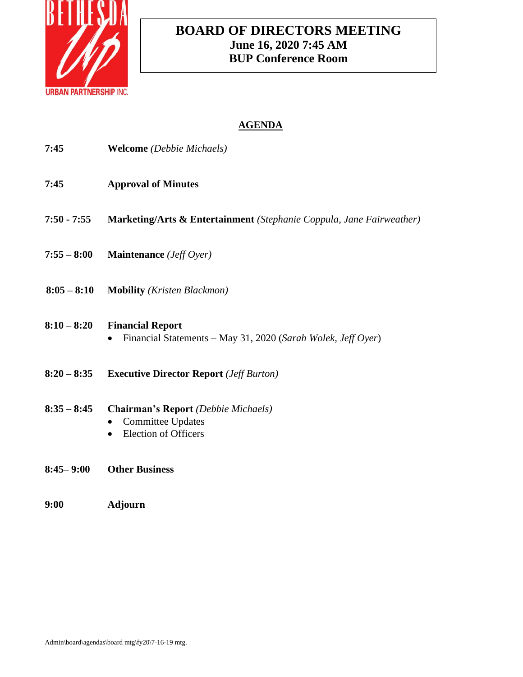

# **BOARD OF DIRECTORS MEETING June 16, 2020 7:45 AM BUP Conference Room**

| 7:45          | <b>Welcome</b> (Debbie Michaels)                                                               |
|---------------|------------------------------------------------------------------------------------------------|
| 7:45          | <b>Approval of Minutes</b>                                                                     |
| $7:50 - 7:55$ | <b>Marketing/Arts &amp; Entertainment</b> (Stephanie Coppula, Jane Fairweather)                |
| $7:55 - 8:00$ | <b>Maintenance</b> ( <i>Jeff Oyer</i> )                                                        |
| $8:05 - 8:10$ | <b>Mobility</b> ( <i>Kristen Blackmon</i> )                                                    |
| $8:10 - 8:20$ | <b>Financial Report</b><br>Financial Statements - May 31, 2020 (Sarah Wolek, Jeff Oyer)        |
| $8:20 - 8:35$ | <b>Executive Director Report</b> ( <i>Jeff Burton</i> )                                        |
| $8:35 - 8:45$ | Chairman's Report (Debbie Michaels)<br><b>Committee Updates</b><br><b>Election of Officers</b> |
| $8:45 - 9:00$ | <b>Other Business</b>                                                                          |
| 9:00          | Adjourn                                                                                        |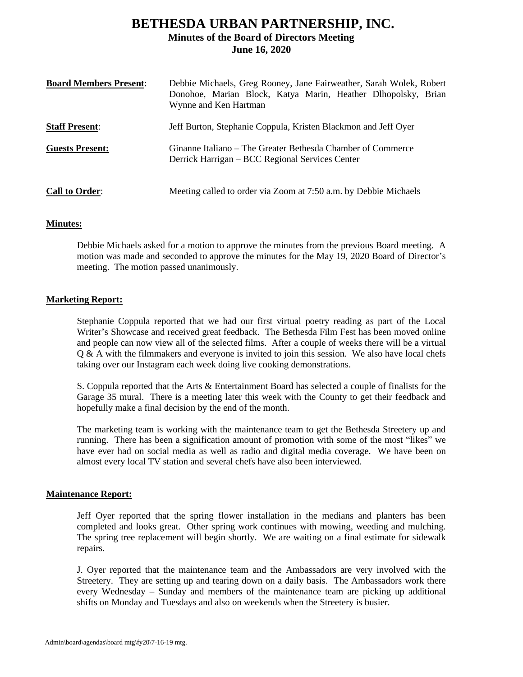# **BETHESDA URBAN PARTNERSHIP, INC. Minutes of the Board of Directors Meeting June 16, 2020**

| <b>Board Members Present:</b> | Debbie Michaels, Greg Rooney, Jane Fairweather, Sarah Wolek, Robert<br>Donohoe, Marian Block, Katya Marin, Heather Dlhopolsky, Brian<br>Wynne and Ken Hartman |
|-------------------------------|---------------------------------------------------------------------------------------------------------------------------------------------------------------|
| <b>Staff Present:</b>         | Jeff Burton, Stephanie Coppula, Kristen Blackmon and Jeff Oyer                                                                                                |
| <b>Guests Present:</b>        | Ginanne Italiano – The Greater Bethesda Chamber of Commerce<br>Derrick Harrigan – BCC Regional Services Center                                                |
| <b>Call to Order:</b>         | Meeting called to order via Zoom at 7:50 a.m. by Debbie Michaels                                                                                              |

## **Minutes:**

Debbie Michaels asked for a motion to approve the minutes from the previous Board meeting. A motion was made and seconded to approve the minutes for the May 19, 2020 Board of Director's meeting. The motion passed unanimously.

## **Marketing Report:**

Stephanie Coppula reported that we had our first virtual poetry reading as part of the Local Writer's Showcase and received great feedback. The Bethesda Film Fest has been moved online and people can now view all of the selected films. After a couple of weeks there will be a virtual  $\Omega \& A$  with the filmmakers and everyone is invited to join this session. We also have local chefs taking over our Instagram each week doing live cooking demonstrations.

S. Coppula reported that the Arts & Entertainment Board has selected a couple of finalists for the Garage 35 mural. There is a meeting later this week with the County to get their feedback and hopefully make a final decision by the end of the month.

The marketing team is working with the maintenance team to get the Bethesda Streetery up and running. There has been a signification amount of promotion with some of the most "likes" we have ever had on social media as well as radio and digital media coverage. We have been on almost every local TV station and several chefs have also been interviewed.

# **Maintenance Report:**

Jeff Oyer reported that the spring flower installation in the medians and planters has been completed and looks great. Other spring work continues with mowing, weeding and mulching. The spring tree replacement will begin shortly. We are waiting on a final estimate for sidewalk repairs.

J. Oyer reported that the maintenance team and the Ambassadors are very involved with the Streetery. They are setting up and tearing down on a daily basis. The Ambassadors work there every Wednesday – Sunday and members of the maintenance team are picking up additional shifts on Monday and Tuesdays and also on weekends when the Streetery is busier.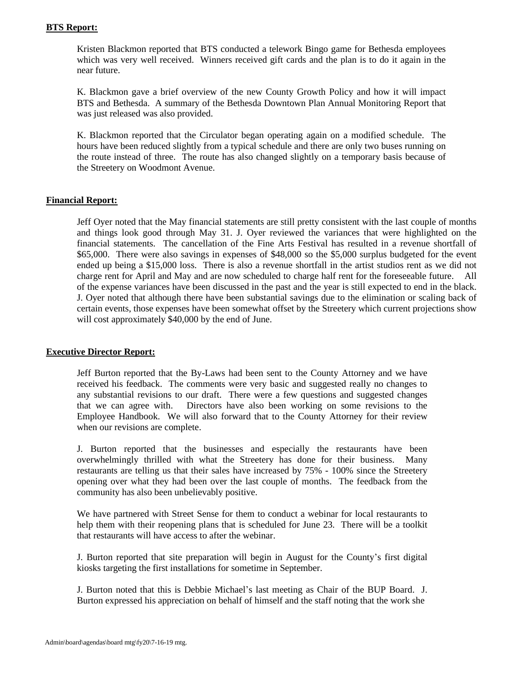## **BTS Report:**

Kristen Blackmon reported that BTS conducted a telework Bingo game for Bethesda employees which was very well received. Winners received gift cards and the plan is to do it again in the near future.

K. Blackmon gave a brief overview of the new County Growth Policy and how it will impact BTS and Bethesda. A summary of the Bethesda Downtown Plan Annual Monitoring Report that was just released was also provided.

K. Blackmon reported that the Circulator began operating again on a modified schedule. The hours have been reduced slightly from a typical schedule and there are only two buses running on the route instead of three. The route has also changed slightly on a temporary basis because of the Streetery on Woodmont Avenue.

# **Financial Report:**

Jeff Oyer noted that the May financial statements are still pretty consistent with the last couple of months and things look good through May 31. J. Oyer reviewed the variances that were highlighted on the financial statements. The cancellation of the Fine Arts Festival has resulted in a revenue shortfall of \$65,000. There were also savings in expenses of \$48,000 so the \$5,000 surplus budgeted for the event ended up being a \$15,000 loss. There is also a revenue shortfall in the artist studios rent as we did not charge rent for April and May and are now scheduled to charge half rent for the foreseeable future. All of the expense variances have been discussed in the past and the year is still expected to end in the black. J. Oyer noted that although there have been substantial savings due to the elimination or scaling back of certain events, those expenses have been somewhat offset by the Streetery which current projections show will cost approximately \$40,000 by the end of June.

### **Executive Director Report:**

Jeff Burton reported that the By-Laws had been sent to the County Attorney and we have received his feedback. The comments were very basic and suggested really no changes to any substantial revisions to our draft. There were a few questions and suggested changes that we can agree with. Directors have also been working on some revisions to the Employee Handbook. We will also forward that to the County Attorney for their review when our revisions are complete.

J. Burton reported that the businesses and especially the restaurants have been overwhelmingly thrilled with what the Streetery has done for their business. Many restaurants are telling us that their sales have increased by 75% - 100% since the Streetery opening over what they had been over the last couple of months. The feedback from the community has also been unbelievably positive.

We have partnered with Street Sense for them to conduct a webinar for local restaurants to help them with their reopening plans that is scheduled for June 23. There will be a toolkit that restaurants will have access to after the webinar.

J. Burton reported that site preparation will begin in August for the County's first digital kiosks targeting the first installations for sometime in September.

J. Burton noted that this is Debbie Michael's last meeting as Chair of the BUP Board. J. Burton expressed his appreciation on behalf of himself and the staff noting that the work she